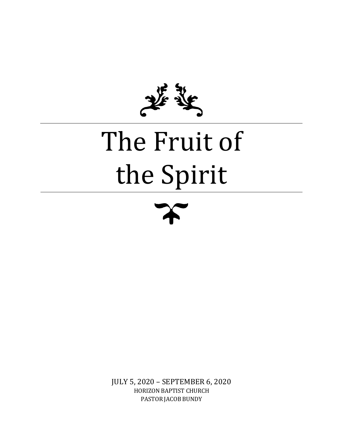

# The Fruit of the Spirit



JULY 5, 2020 – SEPTEMBER 6, 2020 HORIZON BAPTIST CHURCH PASTOR JACOB BUNDY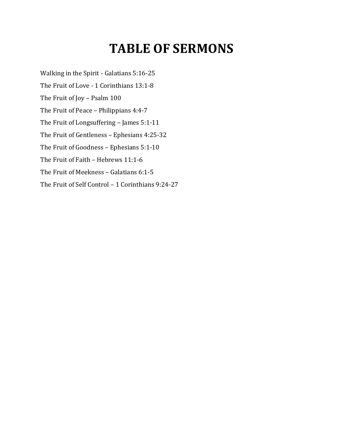### **TABLE OF SERMONS**

Walking in the Spirit - Galatians 5:16-25 The Fruit of Love - 1 Corinthians 13:1-8 The Fruit of Joy – Psalm 100 The Fruit of Peace – Philippians 4:4-7 The Fruit of Longsuffering – James 5:1-11 The Fruit of Gentleness – Ephesians 4:25-32 The Fruit of Goodness – Ephesians 5:1-10 The Fruit of Faith – Hebrews 11:1-6 The Fruit of Meekness – Galatians 6:1-5 The Fruit of Self Control – 1 Corinthians 9:24-27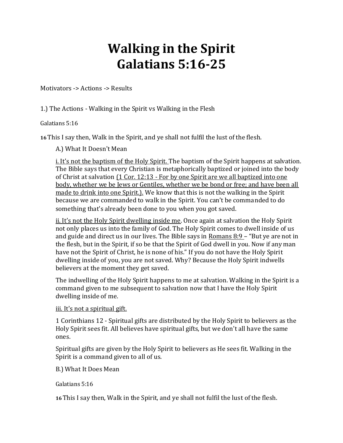### **Walking in the Spirit Galatians 5:16-25**

Motivators -> Actions -> Results

1.) The Actions - Walking in the Spirit vs Walking in the Flesh

Galatians 5:16

**16**This I say then, Walk in the Spirit, and ye shall not fulfil the lust of the flesh.

A.) What It Doesn't Mean

i. It's not the baptism of the Holy Spirit. The baptism of the Spirit happens at salvation. The Bible says that every Christian is metaphorically baptized or joined into the body of Christ at salvation (1 Cor. 12:13 - For by one Spirit are we all baptized into one body, whether we be Jews or Gentiles, whether we be bond or free; and have been all made to drink into one Spirit.). We know that this is not the walking in the Spirit because we are commanded to walk in the Spirit. You can't be commanded to do something that's already been done to you when you got saved.

ii. It's not the Holy Spirit dwelling inside me. Once again at salvation the Holy Spirit not only places us into the family of God. The Holy Spirit comes to dwell inside of us and guide and direct us in our lives. The Bible says in Romans 8:9 – "But ye are not in the flesh, but in the Spirit, if so be that the Spirit of God dwell in you. Now if any man have not the Spirit of Christ, he is none of his." If you do not have the Holy Spirit dwelling inside of you, you are not saved. Why? Because the Holy Spirit indwells believers at the moment they get saved.

The indwelling of the Holy Spirit happens to me at salvation. Walking in the Spirit is a command given to me subsequent to salvation now that I have the Holy Spirit dwelling inside of me.

#### iii. It's not a spiritual gift.

1 Corinthians 12 - Spiritual gifts are distributed by the Holy Spirit to believers as the Holy Spirit sees fit. All believes have spiritual gifts, but we don't all have the same ones.

Spiritual gifts are given by the Holy Spirit to believers as He sees fit. Walking in the Spirit is a command given to all of us.

B.) What It Does Mean

Galatians 5:16

**16**This I say then, Walk in the Spirit, and ye shall not fulfil the lust of the flesh.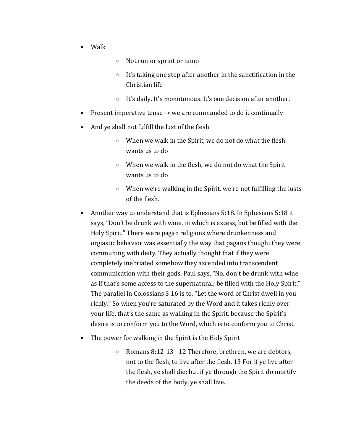- Walk
- o Not run or sprint or jump
- $\circ$  It's taking one step after another in the sanctification in the Christian life
- o It's daily. It's monotonous. It's one decision after another.
- Present imperative tense -> we are commanded to do it continually
- And ye shall not fulfill the lust of the flesh
	- o When we walk in the Spirit, we do not do what the flesh wants us to do
	- o When we walk in the flesh, we do not do what the Spirit wants us to do
	- o When we're walking in the Spirit, we're not fulfilling the lusts of the flesh.
- Another way to understand that is Ephesians 5:18. In Ephesians 5:18 it says, "Don't be drunk with wine, in which is excess, but be filled with the Holy Spirit." There were pagan religions where drunkenness and orgiastic behavior was essentially the way that pagans thought they were communing with deity. They actually thought that if they were completely inebriated somehow they ascended into transcendent communication with their gods. Paul says, "No, don't be drunk with wine as if that's some access to the supernatural; be filled with the Holy Spirit." The parallel in Colossians 3:16 is to, "Let the word of Christ dwell in you richly." So when you're saturated by the Word and it takes richly over your life, that's the same as walking in the Spirit, because the Spirit's desire is to conform you to the Word, which is to conform you to Christ.
- The power for walking in the Spirit is the Holy Spirit
	- o Romans 8:12-13 12 Therefore, brethren, we are debtors, not to the flesh, to live after the flesh. 13 For if ye live after the flesh, ye shall die: but if ye through the Spirit do mortify the deeds of the body, ye shall live.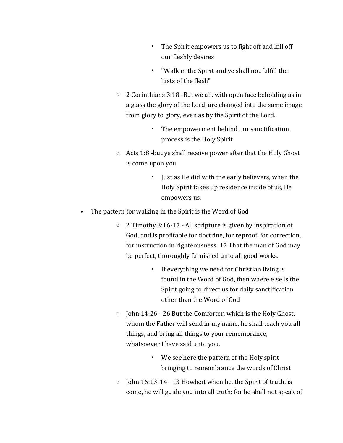- The Spirit empowers us to fight off and kill off our fleshly desires
- "Walk in the Spirit and ye shall not fulfill the lusts of the flesh"
- o 2 Corinthians 3:18 -But we all, with open face beholding as in a glass the glory of the Lord, are changed into the same image from glory to glory, even as by the Spirit of the Lord.
	- The empowerment behind our sanctification process is the Holy Spirit.
- o Acts 1:8 -but ye shall receive power after that the Holy Ghost is come upon you
	- Just as He did with the early believers, when the Holy Spirit takes up residence inside of us, He empowers us.
- The pattern for walking in the Spirit is the Word of God
	- o 2 Timothy 3:16-17 All scripture is given by inspiration of God, and is profitable for doctrine, for reproof, for correction, for instruction in righteousness: 17 That the man of God may be perfect, thoroughly furnished unto all good works.
		- If everything we need for Christian living is found in the Word of God, then where else is the Spirit going to direct us for daily sanctification other than the Word of God
	- o John 14:26 26 But the Comforter, which is the Holy Ghost, whom the Father will send in my name, he shall teach you all things, and bring all things to your remembrance, whatsoever I have said unto you.
		- We see here the pattern of the Holy spirit bringing to remembrance the words of Christ
	- $\circ$  John 16:13-14 13 Howbeit when he, the Spirit of truth, is come, he will guide you into all truth: for he shall not speak of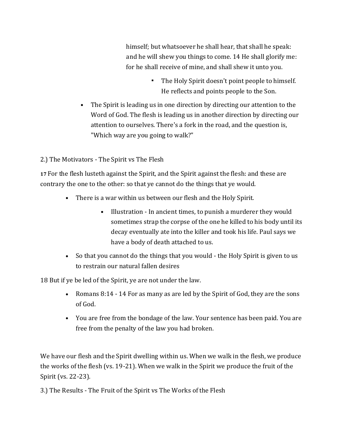himself; but whatsoever he shall hear, that shall he speak: and he will shew you things to come. 14 He shall glorify me: for he shall receive of mine, and shall shew it unto you.

- The Holy Spirit doesn't point people to himself. He reflects and points people to the Son.
- The Spirit is leading us in one direction by directing our attention to the Word of God. The flesh is leading us in another direction by directing our attention to ourselves. There's a fork in the road, and the question is, "Which way are you going to walk?"

2.) The Motivators - The Spirit vs The Flesh

**17** For the flesh lusteth against the Spirit, and the Spirit against the flesh: and these are contrary the one to the other: so that ye cannot do the things that ye would.

- There is a war within us between our flesh and the Holy Spirit.
	- Illustration In ancient times, to punish a murderer they would sometimes strap the corpse of the one he killed to his body until its decay eventually ate into the killer and took his life. Paul says we have a body of death attached to us.
- So that you cannot do the things that you would the Holy Spirit is given to us to restrain our natural fallen desires

18 But if ye be led of the Spirit, ye are not under the law.

- Romans 8:14 14 For as many as are led by the Spirit of God, they are the sons of God.
- You are free from the bondage of the law. Your sentence has been paid. You are free from the penalty of the law you had broken.

We have our flesh and the Spirit dwelling within us. When we walk in the flesh, we produce the works of the flesh (vs. 19-21). When we walk in the Spirit we produce the fruit of the Spirit (vs. 22-23).

3.) The Results - The Fruit of the Spirit vs The Works of the Flesh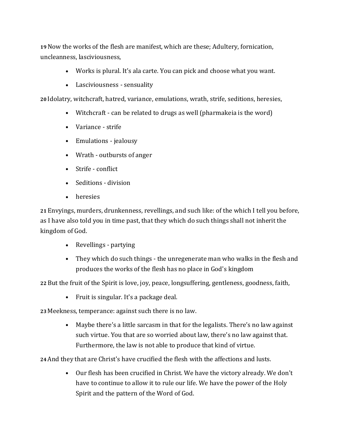**19** Now the works of the flesh are manifest, which are these; Adultery, fornication, uncleanness, lasciviousness,

- Works is plural. It's ala carte. You can pick and choose what you want.
- Lasciviousness sensuality

**20** Idolatry, witchcraft, hatred, variance, emulations, wrath, strife, seditions, heresies,

- Witchcraft can be related to drugs as well (pharmakeia is the word)
- Variance strife
- Emulations jealousy
- Wrath outbursts of anger
- Strife conflict
- Seditions division
- heresies

**21** Envyings, murders, drunkenness, revellings, and such like: of the which I tell you before, as I have also told you in time past, that they which do such things shall not inherit the kingdom of God.

- Revellings partying
- They which do such things the unregenerate man who walks in the flesh and produces the works of the flesh has no place in God's kingdom

**22** But the fruit of the Spirit is love, joy, peace, longsuffering, gentleness, goodness, faith,

• Fruit is singular. It's a package deal.

**23** Meekness, temperance: against such there is no law.

• Maybe there's a little sarcasm in that for the legalists. There's no law against such virtue. You that are so worried about law, there's no law against that. Furthermore, the law is not able to produce that kind of virtue.

**24**And they that are Christ's have crucified the flesh with the affections and lusts.

• Our flesh has been crucified in Christ. We have the victory already. We don't have to continue to allow it to rule our life. We have the power of the Holy Spirit and the pattern of the Word of God.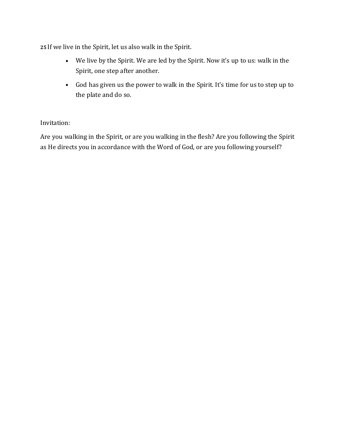**25** If we live in the Spirit, let us also walk in the Spirit.

- We live by the Spirit. We are led by the Spirit. Now it's up to us: walk in the Spirit, one step after another.
- God has given us the power to walk in the Spirit. It's time for us to step up to the plate and do so.

### Invitation:

Are you walking in the Spirit, or are you walking in the flesh? Are you following the Spirit as He directs you in accordance with the Word of God, or are you following yourself?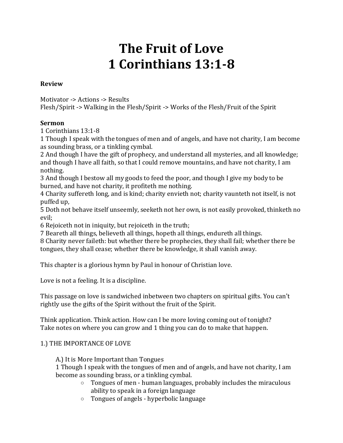# **The Fruit of Love 1 Corinthians 13:1-8**

#### **Review**

Motivator -> Actions -> Results Flesh/Spirit -> Walking in the Flesh/Spirit -> Works of the Flesh/Fruit of the Spirit

#### **Sermon**

1 Corinthians 13:1-8

1 Though I speak with the tongues of men and of angels, and have not charity, I am become as sounding brass, or a tinkling cymbal.

2 And though I have the gift of prophecy, and understand all mysteries, and all knowledge; and though I have all faith, so that I could remove mountains, and have not charity, I am nothing.

3 And though I bestow all my goods to feed the poor, and though I give my body to be burned, and have not charity, it profiteth me nothing.

4 Charity suffereth long, and is kind; charity envieth not; charity vaunteth not itself, is not puffed up,

5 Doth not behave itself unseemly, seeketh not her own, is not easily provoked, thinketh no evil;

6 Rejoiceth not in iniquity, but rejoiceth in the truth;

7 Beareth all things, believeth all things, hopeth all things, endureth all things.

8 Charity never faileth: but whether there be prophecies, they shall fail; whether there be tongues, they shall cease; whether there be knowledge, it shall vanish away.

This chapter is a glorious hymn by Paul in honour of Christian love.

Love is not a feeling. It is a discipline.

This passage on love is sandwiched inbetween two chapters on spiritual gifts. You can't rightly use the gifts of the Spirit without the fruit of the Spirit.

Think application. Think action. How can I be more loving coming out of tonight? Take notes on where you can grow and 1 thing you can do to make that happen.

#### 1.) THE IMPORTANCE OF LOVE

A.) It is More Important than Tongues

1 Though I speak with the tongues of men and of angels, and have not charity, I am become as sounding brass, or a tinkling cymbal.

- $\circ$  Tongues of men human languages, probably includes the miraculous ability to speak in a foreign language
- o Tongues of angels hyperbolic language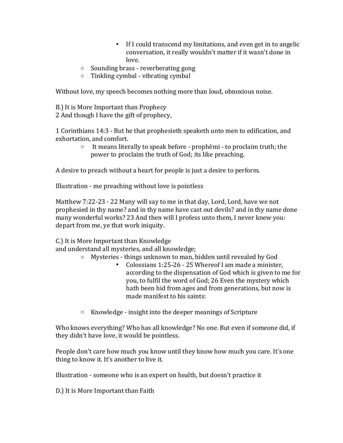- If I could transcend my limitations, and even get in to angelic conversation, it really wouldn't matter if it wasn't done in love.
- o Sounding brass reverberating gong
- o Tinkling cymbal vibrating cymbal

Without love, my speech becomes nothing more than loud, obnoxious noise.

B.) It is More Important than Prophecy 2 And though I have the gift of prophecy,

1 Corinthians 14:3 - But he that prophesieth speaketh unto men to edification, and exhortation, and comfort.

o It means literally to speak before - prophēmi - to proclaim truth; the power to proclaim the truth of God; its like preaching.

A desire to preach without a heart for people is just a desire to perform.

Illustration - me preaching without love is pointless

Matthew 7:22-23 - 22 Many will say to me in that day, Lord, Lord, have we not prophesied in thy name? and in thy name have cast out devils? and in thy name done many wonderful works? 23 And then will I profess unto them, I never knew you: depart from me, ye that work iniquity.

C.) It is More Important than Knowledge

and understand all mysteries, and all knowledge;

- o Mysteries things unknown to man, hidden until revealed by God
	- Colossians 1:25-26 25 Whereof I am made a minister, according to the dispensation of God which is given to me for you, to fulfil the word of God; 26 Even the mystery which hath been hid from ages and from generations, but now is made manifest to his saints:
- o Knowledge insight into the deeper meanings of Scripture

Who knows everything? Who has all knowledge? No one. But even if someone did, if they didn't have love, it would be pointless.

People don't care how much you know until they know how much you care. It's one thing to know it. It's another to live it.

Illustration - someone who is an expert on health, but doesn't practice it

D.) It is More Important than Faith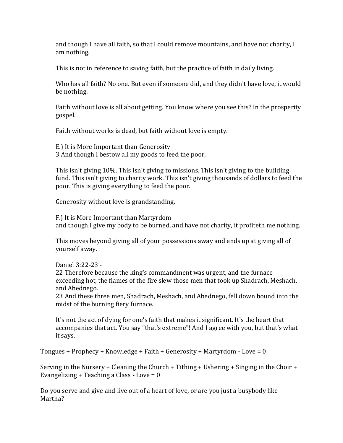and though I have all faith, so that I could remove mountains, and have not charity, I am nothing.

This is not in reference to saving faith, but the practice of faith in daily living.

Who has all faith? No one. But even if someone did, and they didn't have love, it would be nothing.

Faith without love is all about getting. You know where you see this? In the prosperity gospel.

Faith without works is dead, but faith without love is empty.

E.) It is More Important than Generosity 3 And though I bestow all my goods to feed the poor,

This isn't giving 10%. This isn't giving to missions. This isn't giving to the building fund. This isn't giving to charity work. This isn't giving thousands of dollars to feed the poor. This is giving everything to feed the poor.

Generosity without love is grandstanding.

F.) It is More Important than Martyrdom and though I give my body to be burned, and have not charity, it profiteth me nothing.

This moves beyond giving all of your possessions away and ends up at giving all of yourself away.

Daniel 3:22-23 -

22 Therefore because the king's commandment was urgent, and the furnace exceeding hot, the flames of the fire slew those men that took up Shadrach, Meshach, and Abednego.

23 And these three men, Shadrach, Meshach, and Abednego, fell down bound into the midst of the burning fiery furnace.

It's not the act of dying for one's faith that makes it significant. It's the heart that accompanies that act. You say "that's extreme"! And I agree with you, but that's what it says.

Tongues + Prophecy + Knowledge + Faith + Generosity + Martyrdom - Love = 0

Serving in the Nursery + Cleaning the Church + Tithing + Ushering + Singing in the Choir + Evangelizing + Teaching a Class - Love = 0

Do you serve and give and live out of a heart of love, or are you just a busybody like Martha?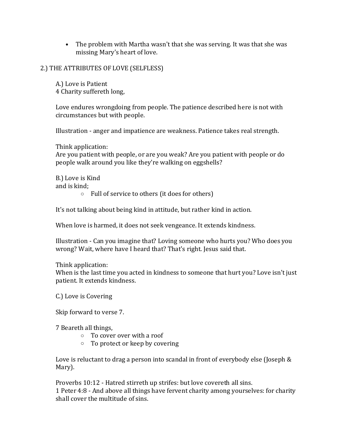• The problem with Martha wasn't that she was serving. It was that she was missing Mary's heart of love.

#### 2.) THE ATTRIBUTES OF LOVE (SELFLESS)

A.) Love is Patient 4 Charity suffereth long,

Love endures wrongdoing from people. The patience described here is not with circumstances but with people.

Illustration - anger and impatience are weakness. Patience takes real strength.

Think application:

Are you patient with people, or are you weak? Are you patient with people or do people walk around you like they're walking on eggshells?

B.) Love is Kind and is kind;

o Full of service to others (it does for others)

It's not talking about being kind in attitude, but rather kind in action.

When love is harmed, it does not seek vengeance. It extends kindness.

Illustration - Can you imagine that? Loving someone who hurts you? Who does you wrong? Wait, where have I heard that? That's right. Jesus said that.

Think application:

When is the last time you acted in kindness to someone that hurt you? Love isn't just patient. It extends kindness.

C.) Love is Covering

Skip forward to verse 7.

7 Beareth all things,

- o To cover over with a roof
- o To protect or keep by covering

Love is reluctant to drag a person into scandal in front of everybody else (Joseph & Mary).

Proverbs 10:12 - Hatred stirreth up strifes: but love covereth all sins. 1 Peter 4:8 - And above all things have fervent charity among yourselves: for charity shall cover the multitude of sins.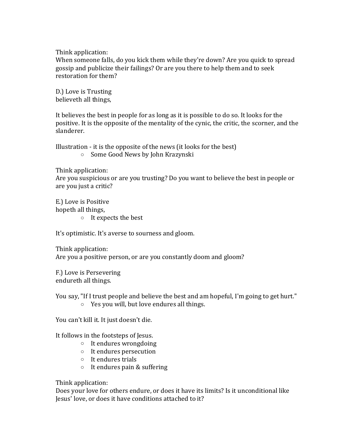Think application:

When someone falls, do you kick them while they're down? Are you quick to spread gossip and publicize their failings? Or are you there to help them and to seek restoration for them?

D.) Love is Trusting believeth all things,

It believes the best in people for as long as it is possible to do so. It looks for the positive. It is the opposite of the mentality of the cynic, the critic, the scorner, and the slanderer.

Illustration - it is the opposite of the news (it looks for the best) o Some Good News by John Krazynski

Think application:

Are you suspicious or are you trusting? Do you want to believe the best in people or are you just a critic?

E.) Love is Positive hopeth all things,

o It expects the best

It's optimistic. It's averse to sourness and gloom.

Think application: Are you a positive person, or are you constantly doom and gloom?

F.) Love is Persevering endureth all things.

You say, "If I trust people and believe the best and am hopeful, I'm going to get hurt."

o Yes you will, but love endures all things.

You can't kill it. It just doesn't die.

It follows in the footsteps of Jesus.

- o It endures wrongdoing
- o It endures persecution
- o It endures trials
- o It endures pain & suffering

Think application:

Does your love for others endure, or does it have its limits? Is it unconditional like Jesus' love, or does it have conditions attached to it?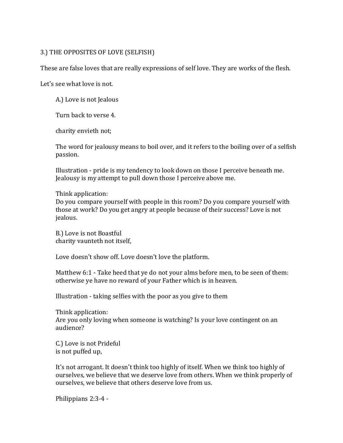#### 3.) THE OPPOSITES OF LOVE (SELFISH)

These are false loves that are really expressions of self love. They are works of the flesh.

Let's see what love is not.

A.) Love is not Jealous

Turn back to verse 4.

charity envieth not;

The word for jealousy means to boil over, and it refers to the boiling over of a selfish passion.

Illustration - pride is my tendency to look down on those I perceive beneath me. Jealousy is my attempt to pull down those I perceive above me.

Think application:

Do you compare yourself with people in this room? Do you compare yourself with those at work? Do you get angry at people because of their success? Love is not jealous.

B.) Love is not Boastful charity vaunteth not itself,

Love doesn't show off. Love doesn't love the platform.

Matthew 6:1 - Take heed that ye do not your alms before men, to be seen of them: otherwise ye have no reward of your Father which is in heaven.

Illustration - taking selfies with the poor as you give to them

Think application: Are you only loving when someone is watching? Is your love contingent on an audience?

C.) Love is not Prideful is not puffed up,

It's not arrogant. It doesn't think too highly of itself. When we think too highly of ourselves, we believe that we deserve love from others. When we think properly of ourselves, we believe that others deserve love from us.

Philippians 2:3-4 -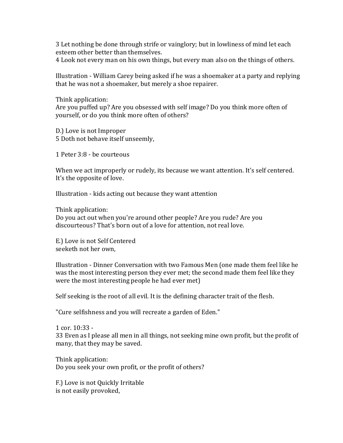3 Let nothing be done through strife or vainglory; but in lowliness of mind let each esteem other better than themselves.

4 Look not every man on his own things, but every man also on the things of others.

Illustration - William Carey being asked if he was a shoemaker at a party and replying that he was not a shoemaker, but merely a shoe repairer.

Think application:

Are you puffed up? Are you obsessed with self image? Do you think more often of yourself, or do you think more often of others?

D.) Love is not Improper 5 Doth not behave itself unseemly,

1 Peter 3:8 - be courteous

When we act improperly or rudely, its because we want attention. It's self centered. It's the opposite of love.

Illustration - kids acting out because they want attention

Think application:

Do you act out when you're around other people? Are you rude? Are you discourteous? That's born out of a love for attention, not real love.

E.) Love is not Self Centered seeketh not her own,

Illustration - Dinner Conversation with two Famous Men (one made them feel like he was the most interesting person they ever met; the second made them feel like they were the most interesting people he had ever met)

Self seeking is the root of all evil. It is the defining character trait of the flesh.

"Cure selfishness and you will recreate a garden of Eden."

1 cor. 10:33 - 33 Even as I please all men in all things, not seeking mine own profit, but the profit of many, that they may be saved.

Think application: Do you seek your own profit, or the profit of others?

F.) Love is not Quickly Irritable is not easily provoked,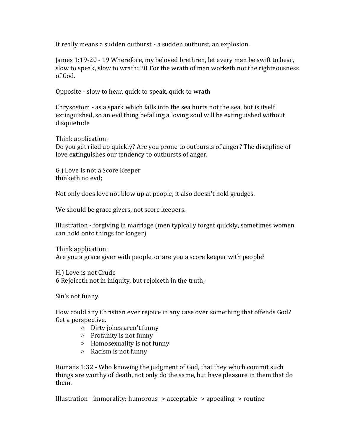It really means a sudden outburst - a sudden outburst, an explosion.

James 1:19-20 - 19 Wherefore, my beloved brethren, let every man be swift to hear, slow to speak, slow to wrath: 20 For the wrath of man worketh not the righteousness of God.

Opposite - slow to hear, quick to speak, quick to wrath

Chrysostom - as a spark which falls into the sea hurts not the sea, but is itself extinguished, so an evil thing befalling a loving soul will be extinguished without disquietude

Think application:

Do you get riled up quickly? Are you prone to outbursts of anger? The discipline of love extinguishes our tendency to outbursts of anger.

G.) Love is not a Score Keeper thinketh no evil;

Not only does love not blow up at people, it also doesn't hold grudges.

We should be grace givers, not score keepers.

Illustration - forgiving in marriage (men typically forget quickly, sometimes women can hold onto things for longer)

Think application: Are you a grace giver with people, or are you a score keeper with people?

H.) Love is not Crude 6 Rejoiceth not in iniquity, but rejoiceth in the truth;

Sin's not funny.

How could any Christian ever rejoice in any case over something that offends God? Get a perspective.

- o Dirty jokes aren't funny
- o Profanity is not funny
- o Homosexuality is not funny
- o Racism is not funny

Romans 1:32 - Who knowing the judgment of God, that they which commit such things are worthy of death, not only do the same, but have pleasure in them that do them.

Illustration - immorality: humorous -> acceptable -> appealing -> routine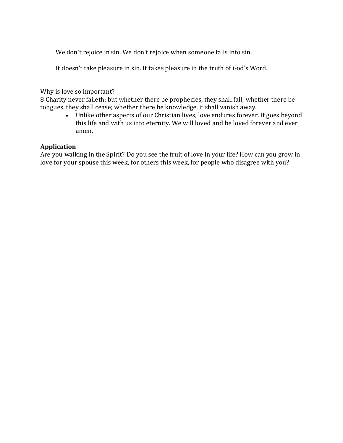We don't rejoice in sin. We don't rejoice when someone falls into sin.

It doesn't take pleasure in sin. It takes pleasure in the truth of God's Word.

Why is love so important?

8 Charity never faileth: but whether there be prophecies, they shall fail; whether there be tongues, they shall cease; whether there be knowledge, it shall vanish away.

• Unlike other aspects of our Christian lives, love endures forever. It goes beyond this life and with us into eternity. We will loved and be loved forever and ever amen.

#### **Application**

Are you walking in the Spirit? Do you see the fruit of love in your life? How can you grow in love for your spouse this week, for others this week, for people who disagree with you?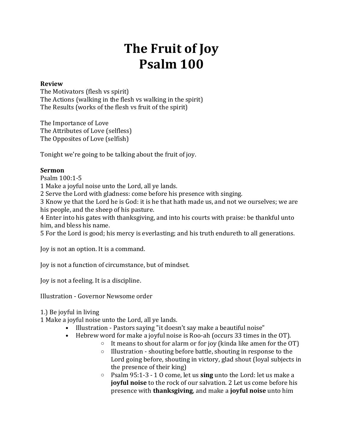# **The Fruit of Joy Psalm 100**

#### **Review**

The Motivators (flesh vs spirit) The Actions (walking in the flesh vs walking in the spirit) The Results (works of the flesh vs fruit of the spirit)

The Importance of Love The Attributes of Love (selfless) The Opposites of Love (selfish)

Tonight we're going to be talking about the fruit of joy.

#### **Sermon**

Psalm 100:1-5

1 Make a joyful noise unto the Lord, all ye lands.

2 Serve the Lord with gladness: come before his presence with singing.

3 Know ye that the Lord he is God: it is he that hath made us, and not we ourselves; we are his people, and the sheep of his pasture.

4 Enter into his gates with thanksgiving, and into his courts with praise: be thankful unto him, and bless his name.

5 For the Lord is good; his mercy is everlasting; and his truth endureth to all generations.

Joy is not an option. It is a command.

Joy is not a function of circumstance, but of mindset.

Joy is not a feeling. It is a discipline.

Illustration - Governor Newsome order

1.) Be joyful in living

1 Make a joyful noise unto the Lord, all ye lands.

- Illustration Pastors saying "it doesn't say make a beautiful noise"
- Hebrew word for make a joyful noise is Roo-ah (occurs 33 times in the OT).
	- $\circ$  It means to shout for alarm or for joy (kinda like amen for the OT)
	- o Illustration shouting before battle, shouting in response to the Lord going before, shouting in victory, glad shout (loyal subjects in the presence of their king)
	- o Psalm 95:1-3 1 O come, let us **sing** unto the Lord: let us make a **joyful noise** to the rock of our salvation. 2 Let us come before his presence with **thanksgiving**, and make a **joyful noise** unto him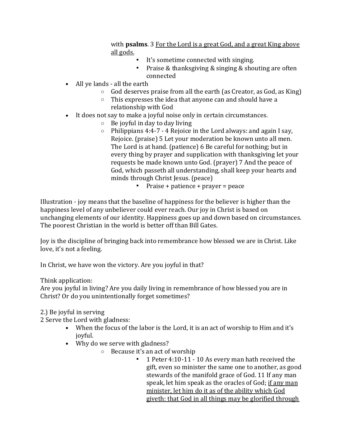with **psalms**. 3 For the Lord is a great God, and a great King above all gods.

- It's sometime connected with singing.
- Praise & thanksgiving & singing & shouting are often connected
- All ye lands all the earth
	- $\circ$  God deserves praise from all the earth (as Creator, as God, as King)
	- o This expresses the idea that anyone can and should have a relationship with God
- It does not say to make a joyful noise only in certain circumstances.
	- $\circ$  Be joyful in day to day living
	- $\circ$  Philippians 4:4-7 4 Rejoice in the Lord always: and again I say, Rejoice. (praise) 5 Let your moderation be known unto all men. The Lord is at hand. (patience) 6 Be careful for nothing; but in every thing by prayer and supplication with thanksgiving let your requests be made known unto God. (prayer) 7 And the peace of God, which passeth all understanding, shall keep your hearts and minds through Christ Jesus. (peace)
		- Praise + patience + prayer = peace

Illustration - joy means that the baseline of happiness for the believer is higher than the happiness level of any unbeliever could ever reach. Our joy in Christ is based on unchanging elements of our identity. Happiness goes up and down based on circumstances. The poorest Christian in the world is better off than Bill Gates.

Joy is the discipline of bringing back into remembrance how blessed we are in Christ. Like love, it's not a feeling.

In Christ, we have won the victory. Are you joyful in that?

#### Think application:

Are you joyful in living? Are you daily living in remembrance of how blessed you are in Christ? Or do you unintentionally forget sometimes?

#### 2.) Be joyful in serving

2 Serve the Lord with gladness:

- When the focus of the labor is the Lord, it is an act of worship to Him and it's joyful.
- Why do we serve with gladness?
	- o Because it's an act of worship
		- 1 Peter 4:10-11 10 As every man hath received the gift, even so minister the same one to another, as good stewards of the manifold grace of God. 11 If any man speak, let him speak as the oracles of God; if any man minister, let him do it as of the ability which God giveth: that God in all things may be glorified through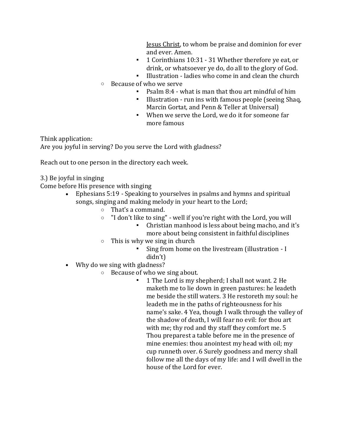Jesus Christ, to whom be praise and dominion for ever and ever. Amen.

- 1 Corinthians 10:31 31 Whether therefore ve eat, or drink, or whatsoever ye do, do all to the glory of God.
- Illustration ladies who come in and clean the church
- o Because of who we serve
	- Psalm 8:4 what is man that thou art mindful of him
	- Illustration run ins with famous people (seeing Shaq, Marcin Gortat, and Penn & Teller at Universal)
	- When we serve the Lord, we do it for someone far more famous

Think application:

Are you joyful in serving? Do you serve the Lord with gladness?

Reach out to one person in the directory each week.

3.) Be joyful in singing

Come before His presence with singing

- Ephesians 5:19 Speaking to yourselves in psalms and hymns and spiritual songs, singing and making melody in your heart to the Lord;
	- o That's a command.
	- o "I don't like to sing" well if you're right with the Lord, you will
		- Christian manhood is less about being macho, and it's more about being consistent in faithful disciplines
	- $\circ$  This is why we sing in church
		- Sing from home on the livestream (illustration I didn't)
- Why do we sing with gladness?
	- o Because of who we sing about.
		- 1 The Lord is my shepherd; I shall not want. 2 He maketh me to lie down in green pastures: he leadeth me beside the still waters. 3 He restoreth my soul: he leadeth me in the paths of righteousness for his name's sake. 4 Yea, though I walk through the valley of the shadow of death, I will fear no evil: for thou art with me; thy rod and thy staff they comfort me. 5 Thou preparest a table before me in the presence of mine enemies: thou anointest my head with oil; my cup runneth over. 6 Surely goodness and mercy shall follow me all the days of my life: and I will dwell in the house of the Lord for ever.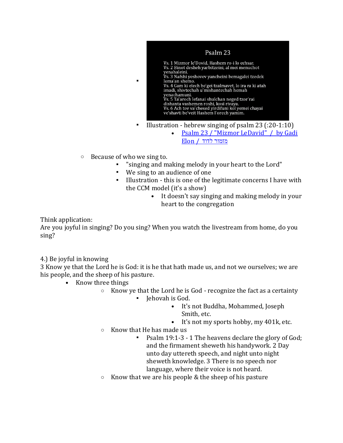

- [Psalm 23 / "Mizmor LeDavid" / by Gadi](https://www.youtube.com/watch?v=GYpjoUDqbU4)  מזמור לדוד [/ Elon](https://www.youtube.com/watch?v=GYpjoUDqbU4)
- o Because of who we sing to.

▪

- "singing and making melody in your heart to the Lord"
- We sing to an audience of one
- Illustration this is one of the legitimate concerns I have with the CCM model (it's a show)
	- It doesn't say singing and making melody in your heart to the congregation

Think application:

Are you joyful in singing? Do you sing? When you watch the livestream from home, do you sing?

4.) Be joyful in knowing

3 Know ye that the Lord he is God: it is he that hath made us, and not we ourselves; we are his people, and the sheep of his pasture.

- Know three things
	- $\circ$  Know ye that the Lord he is God recognize the fact as a certainty
		- Jehovah is God.
			- It's not Buddha, Mohammed, Joseph Smith, etc.
			- It's not my sports hobby, my 401k, etc.
	- o Know that He has made us
		- Psalm 19:1-3 1 The heavens declare the glory of God; and the firmament sheweth his handywork. 2 Day unto day uttereth speech, and night unto night sheweth knowledge. 3 There is no speech nor language, where their voice is not heard.
	- $\circ$  Know that we are his people & the sheep of his pasture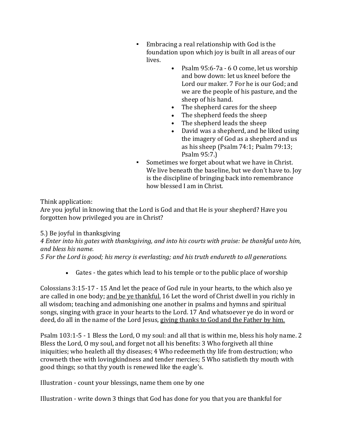- Embracing a real relationship with God is the foundation upon which joy is built in all areas of our lives.
	- Psalm 95:6-7a 6 0 come, let us worship and bow down: let us kneel before the Lord our maker. 7 For he is our God; and we are the people of his pasture, and the sheep of his hand.
	- The shepherd cares for the sheep
	- The shepherd feeds the sheep
	- The shepherd leads the sheep
	- David was a shepherd, and he liked using the imagery of God as a shepherd and us as his sheep (Psalm 74:1; Psalm 79:13; Psalm 95:7.)
- Sometimes we forget about what we have in Christ. We live beneath the baseline, but we don't have to. Joy is the discipline of bringing back into remembrance how blessed I am in Christ.

Think application:

Are you joyful in knowing that the Lord is God and that He is your shepherd? Have you forgotten how privileged you are in Christ?

5.) Be joyful in thanksgiving

*4 Enter into his gates with thanksgiving, and into his courts with praise: be thankful unto him, and bless his name.*

*5 For the Lord is good; his mercy is everlasting; and his truth endureth to all generations.*

• Gates - the gates which lead to his temple or to the public place of worship

Colossians 3:15-17 - 15 And let the peace of God rule in your hearts, to the which also ye are called in one body; and be ye thankful. 16 Let the word of Christ dwell in you richly in all wisdom; teaching and admonishing one another in psalms and hymns and spiritual songs, singing with grace in your hearts to the Lord. 17 And whatsoever ye do in word or deed, do all in the name of the Lord Jesus, giving thanks to God and the Father by him.

Psalm 103:1-5 - 1 Bless the Lord, O my soul: and all that is within me, bless his holy name. 2 Bless the Lord, O my soul, and forget not all his benefits: 3 Who forgiveth all thine iniquities; who healeth all thy diseases; 4 Who redeemeth thy life from destruction; who crowneth thee with lovingkindness and tender mercies; 5 Who satisfieth thy mouth with good things; so that thy youth is renewed like the eagle's.

Illustration - count your blessings, name them one by one

Illustration - write down 3 things that God has done for you that you are thankful for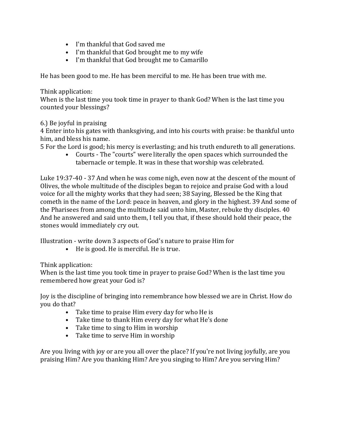- I'm thankful that God saved me
- I'm thankful that God brought me to my wife
- I'm thankful that God brought me to Camarillo

He has been good to me. He has been merciful to me. He has been true with me.

#### Think application:

When is the last time you took time in prayer to thank God? When is the last time you counted your blessings?

#### 6.) Be joyful in praising

4 Enter into his gates with thanksgiving, and into his courts with praise: be thankful unto him, and bless his name.

5 For the Lord is good; his mercy is everlasting; and his truth endureth to all generations.

• Courts - The "courts" were literally the open spaces which surrounded the tabernacle or temple. It was in these that worship was celebrated.

Luke 19:37-40 - 37 And when he was come nigh, even now at the descent of the mount of Olives, the whole multitude of the disciples began to rejoice and praise God with a loud voice for all the mighty works that they had seen; 38 Saying, Blessed be the King that cometh in the name of the Lord: peace in heaven, and glory in the highest. 39 And some of the Pharisees from among the multitude said unto him, Master, rebuke thy disciples. 40 And he answered and said unto them, I tell you that, if these should hold their peace, the stones would immediately cry out.

Illustration - write down 3 aspects of God's nature to praise Him for

• He is good. He is merciful. He is true.

#### Think application:

When is the last time you took time in prayer to praise God? When is the last time you remembered how great your God is?

Joy is the discipline of bringing into remembrance how blessed we are in Christ. How do you do that?

- Take time to praise Him every day for who He is
- Take time to thank Him every day for what He's done
- Take time to sing to Him in worship
- Take time to serve Him in worship

Are you living with joy or are you all over the place? If you're not living joyfully, are you praising Him? Are you thanking Him? Are you singing to Him? Are you serving Him?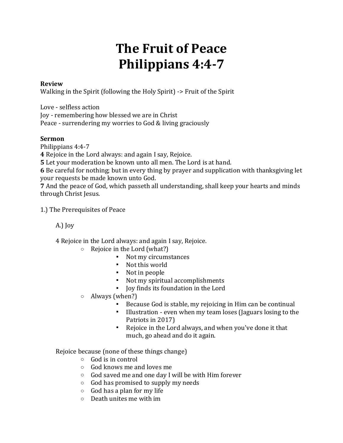# **The Fruit of Peace Philippians 4:4-7**

#### **Review**

Walking in the Spirit (following the Holy Spirit) -> Fruit of the Spirit

Love - selfless action

Joy - remembering how blessed we are in Christ

Peace - surrendering my worries to God & living graciously

### **Sermon**

Philippians 4:4-7

**4** Rejoice in the Lord always: and again I say, Rejoice.

**5** Let your moderation be known unto all men. The Lord is at hand.

**6** Be careful for nothing; but in every thing by prayer and supplication with thanksgiving let your requests be made known unto God.

**7** And the peace of God, which passeth all understanding, shall keep your hearts and minds through Christ Jesus.

1.) The Prerequisites of Peace

A.) Joy

4 Rejoice in the Lord always: and again I say, Rejoice.

- o Rejoice in the Lord (what?)
	- Not my circumstances
	- Not this world
	- Not in people
	- Not my spiritual accomplishments
	- Joy finds its foundation in the Lord
- o Always (when?)
	- Because God is stable, my rejoicing in Him can be continual
	- Illustration even when my team loses (Jaguars losing to the Patriots in 2017)
	- Rejoice in the Lord always, and when you've done it that much, go ahead and do it again.

Rejoice because (none of these things change)

- o God is in control
- o God knows me and loves me
- o God saved me and one day I will be with Him forever
- o God has promised to supply my needs
- $\circ$  God has a plan for my life
- o Death unites me with im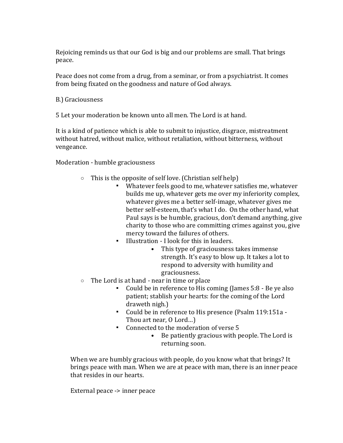Rejoicing reminds us that our God is big and our problems are small. That brings peace.

Peace does not come from a drug, from a seminar, or from a psychiatrist. It comes from being fixated on the goodness and nature of God always.

B.) Graciousness

5 Let your moderation be known unto all men. The Lord is at hand.

It is a kind of patience which is able to submit to injustice, disgrace, mistreatment without hatred, without malice, without retaliation, without bitterness, without vengeance.

Moderation - humble graciousness

- $\circ$  This is the opposite of self love. (Christian self help)
	- Whatever feels good to me, whatever satisfies me, whatever builds me up, whatever gets me over my inferiority complex, whatever gives me a better self-image, whatever gives me better self-esteem, that's what I do. On the other hand, what Paul says is be humble, gracious, don't demand anything, give charity to those who are committing crimes against you, give mercy toward the failures of others.
	- Illustration I look for this in leaders.
		- This type of graciousness takes immense strength. It's easy to blow up. It takes a lot to respond to adversity with humility and graciousness.
- o The Lord is at hand near in time or place
	- Could be in reference to His coming (James 5:8 Be ye also patient; stablish your hearts: for the coming of the Lord draweth nigh.)
	- Could be in reference to His presence (Psalm 119:151a Thou art near, O Lord…)
	- Connected to the moderation of verse 5
		- Be patiently gracious with people. The Lord is returning soon.

When we are humbly gracious with people, do you know what that brings? It brings peace with man. When we are at peace with man, there is an inner peace that resides in our hearts.

External peace -> inner peace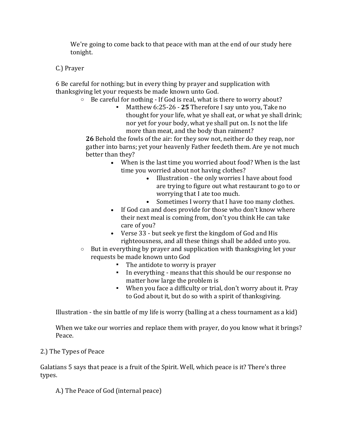We're going to come back to that peace with man at the end of our study here tonight.

#### C.) Prayer

6 Be careful for nothing; but in every thing by prayer and supplication with thanksgiving let your requests be made known unto God.

o Be careful for nothing - If God is real, what is there to worry about?

▪ Matthew 6:25-26 - **25** Therefore I say unto you, Take no thought for your life, what ye shall eat, or what ye shall drink; nor yet for your body, what ye shall put on. Is not the life more than meat, and the body than raiment?

**26** Behold the fowls of the air: for they sow not, neither do they reap, nor gather into barns; yet your heavenly Father feedeth them. Are ye not much better than they?

- When is the last time you worried about food? When is the last time you worried about not having clothes?
	- Illustration the only worries I have about food are trying to figure out what restaurant to go to or worrying that I ate too much.
	- Sometimes I worry that I have too many clothes.
- If God can and does provide for those who don't know where their next meal is coming from, don't you think He can take care of you?
- Verse 33 but seek ye first the kingdom of God and His righteousness, and all these things shall be added unto you.
- o But in everything by prayer and supplication with thanksgiving let your requests be made known unto God
	- The antidote to worry is prayer
	- In everything means that this should be our response no matter how large the problem is
	- When you face a difficulty or trial, don't worry about it. Pray to God about it, but do so with a spirit of thanksgiving.

Illustration - the sin battle of my life is worry (balling at a chess tournament as a kid)

When we take our worries and replace them with prayer, do you know what it brings? Peace.

#### 2.) The Types of Peace

Galatians 5 says that peace is a fruit of the Spirit. Well, which peace is it? There's three types.

A.) The Peace of God (internal peace)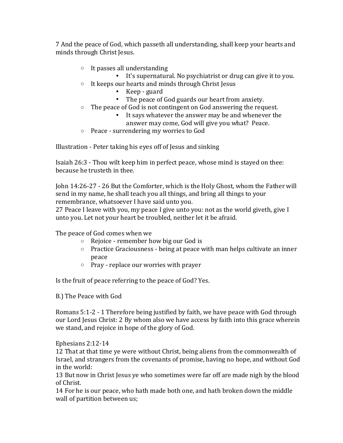7 And the peace of God, which passeth all understanding, shall keep your hearts and minds through Christ Jesus.

- o It passes all understanding
	- It's supernatural. No psychiatrist or drug can give it to you.
- o It keeps our hearts and minds through Christ Jesus
	- Keep guard
	- The peace of God guards our heart from anxiety.
- o The peace of God is not contingent on God answering the request.
	- It says whatever the answer may be and whenever the answer may come, God will give you what? Peace.
- o Peace surrendering my worries to God

Illustration - Peter taking his eyes off of Jesus and sinking

Isaiah 26:3 - Thou wilt keep him in perfect peace, whose mind is stayed on thee: because he trusteth in thee.

John 14:26-27 - 26 But the Comforter, which is the Holy Ghost, whom the Father will send in my name, he shall teach you all things, and bring all things to your remembrance, whatsoever I have said unto you.

27 Peace I leave with you, my peace I give unto you: not as the world giveth, give I unto you. Let not your heart be troubled, neither let it be afraid.

The peace of God comes when we

- o Rejoice remember how big our God is
- o Practice Graciousness being at peace with man helps cultivate an inner peace
- o Pray replace our worries with prayer

Is the fruit of peace referring to the peace of God? Yes.

B.) The Peace with God

Romans 5:1-2 - 1 Therefore being justified by faith, we have peace with God through our Lord Jesus Christ: 2 By whom also we have access by faith into this grace wherein we stand, and rejoice in hope of the glory of God.

Ephesians 2:12-14

12 That at that time ye were without Christ, being aliens from the commonwealth of Israel, and strangers from the covenants of promise, having no hope, and without God in the world:

13 But now in Christ Jesus ye who sometimes were far off are made nigh by the blood of Christ.

14 For he is our peace, who hath made both one, and hath broken down the middle wall of partition between us;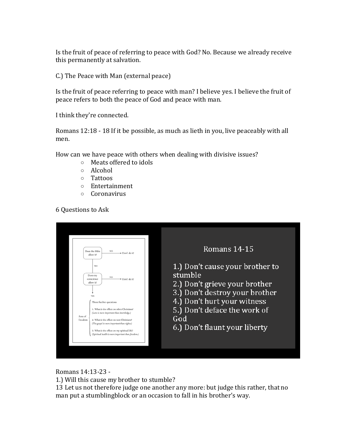Is the fruit of peace of referring to peace with God? No. Because we already receive this permanently at salvation.

C.) The Peace with Man (external peace)

Is the fruit of peace referring to peace with man? I believe yes. I believe the fruit of peace refers to both the peace of God and peace with man.

I think they're connected.

Romans 12:18 - 18 If it be possible, as much as lieth in you, live peaceably with all men.

How can we have peace with others when dealing with divisive issues?

- o Meats offered to idols
- o Alcohol
- o Tattoos
- o Entertainment
- o Coronavirus

6 Questions to Ask

| Romans 14-15<br>Does the Bible<br>NO.<br>Don't do it!<br>allow it?<br>1.) Don't cause your brother to<br><b>YES</b><br>stumble<br>Does my<br>NO.<br>conscience<br>Don't do it!<br>2.) Don't grieve your brother<br>allow it?<br>3.) Don't destroy your brother<br><b>YES</b><br>4.) Don't hurt your witness<br>Three further questions:<br>5.) Don't deface the work of<br>1. What is the effect on other Christians?<br>(Love is more important than knowledge.)<br>Area of<br>God<br>freedom<br>2. What is the effect on non-Christians?<br>(The gospel is more important than rights.)<br>6.) Don't flaunt your liberty<br>3. What is the effect on my spiritual life?<br>(Spiritual health is more important than freedom.) |
|---------------------------------------------------------------------------------------------------------------------------------------------------------------------------------------------------------------------------------------------------------------------------------------------------------------------------------------------------------------------------------------------------------------------------------------------------------------------------------------------------------------------------------------------------------------------------------------------------------------------------------------------------------------------------------------------------------------------------------|
|---------------------------------------------------------------------------------------------------------------------------------------------------------------------------------------------------------------------------------------------------------------------------------------------------------------------------------------------------------------------------------------------------------------------------------------------------------------------------------------------------------------------------------------------------------------------------------------------------------------------------------------------------------------------------------------------------------------------------------|

Romans 14:13-23 -

1.) Will this cause my brother to stumble?

13 Let us not therefore judge one another any more: but judge this rather, that no man put a stumblingblock or an occasion to fall in his brother's way.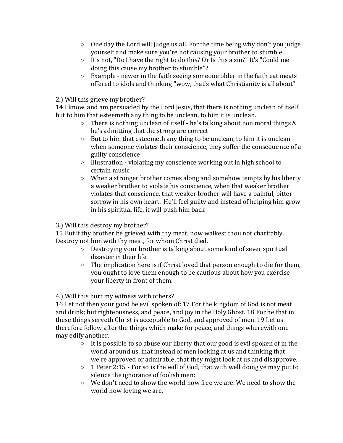- $\circ$  One day the Lord will judge us all. For the time being why don't you judge yourself and make sure you're not causing your brother to stumble.
- o It's not, "Do I have the right to do this? Or Is this a sin?" It's "Could me doing this cause my brother to stumble"?
- $\circ$  Example newer in the faith seeing someone older in the faith eat meats offered to idols and thinking "wow, that's what Christianity is all about"

2.) Will this grieve my brother?

14 I know, and am persuaded by the Lord Jesus, that there is nothing unclean of itself: but to him that esteemeth any thing to be unclean, to him it is unclean.

- $\circ$  There is nothing unclean of itself he's talking about non moral things & he's admitting that the strong are correct
- o But to him that esteemeth any thing to be unclean, to him it is unclean when someone violates their conscience, they suffer the consequence of a guilty conscience
- o Illustration violating my conscience working out in high school to certain music
- o When a stronger brother comes along and somehow tempts by his liberty a weaker brother to violate his conscience, when that weaker brother violates that conscience, that weaker brother will have a painful, bitter sorrow in his own heart. He'll feel guilty and instead of helping him grow in his spiritual life, it will push him back

3.) Will this destroy my brother?

15 But if thy brother be grieved with thy meat, now walkest thou not charitably. Destroy not him with thy meat, for whom Christ died.

- o Destroying your brother is talking about some kind of sever spiritual disaster in their life
- o The implication here is if Christ loved that person enough to die for them, you ought to love them enough to be cautious about how you exercise your liberty in front of them.

4.) Will this hurt my witness with others?

16 Let not then your good be evil spoken of: 17 For the kingdom of God is not meat and drink; but righteousness, and peace, and joy in the Holy Ghost. 18 For he that in these things serveth Christ is acceptable to God, and approved of men. 19 Let us therefore follow after the things which make for peace, and things wherewith one may edify another.

- $\circ$  It is possible to so abuse our liberty that our good is evil spoken of in the world around us, that instead of men looking at us and thinking that we're approved or admirable, that they might look at us and disapprove.
- $\circ$  1 Peter 2:15 For so is the will of God, that with well doing ve may put to silence the ignorance of foolish men:
- o We don't need to show the world how free we are. We need to show the world how loving we are.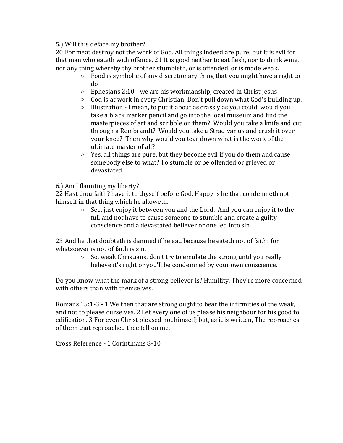5.) Will this deface my brother?

20 For meat destroy not the work of God. All things indeed are pure; but it is evil for that man who eateth with offence. 21 It is good neither to eat flesh, nor to drink wine, nor any thing whereby thy brother stumbleth, or is offended, or is made weak.

- o Food is symbolic of any discretionary thing that you might have a right to do
- $\circ$  Ephesians 2:10 we are his workmanship, created in Christ Jesus
- o God is at work in every Christian. Don't pull down what God's building up.
- $\circ$  Illustration I mean, to put it about as crassly as you could, would you take a black marker pencil and go into the local museum and find the masterpieces of art and scribble on them? Would you take a knife and cut through a Rembrandt? Would you take a Stradivarius and crush it over your knee? Then why would you tear down what is the work of the ultimate master of all?
- $\circ$  Yes, all things are pure, but they become evil if you do them and cause somebody else to what? To stumble or be offended or grieved or devastated.

6.) Am I flaunting my liberty?

22 Hast thou faith? have it to thyself before God. Happy is he that condemneth not himself in that thing which he alloweth.

> o See, just enjoy it between you and the Lord. And you can enjoy it to the full and not have to cause someone to stumble and create a guilty conscience and a devastated believer or one led into sin.

23 And he that doubteth is damned if he eat, because he eateth not of faith: for whatsoever is not of faith is sin.

> o So, weak Christians, don't try to emulate the strong until you really believe it's right or you'll be condemned by your own conscience.

Do you know what the mark of a strong believer is? Humility. They're more concerned with others than with themselves.

Romans 15:1-3 - 1 We then that are strong ought to bear the infirmities of the weak, and not to please ourselves. 2 Let every one of us please his neighbour for his good to edification. 3 For even Christ pleased not himself; but, as it is written, The reproaches of them that reproached thee fell on me.

Cross Reference - 1 Corinthians 8-10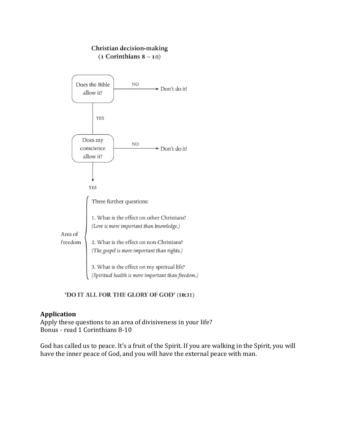#### Christian decision-making  $(I$  Corinthians  $8 - 10$ )



'DO IT ALL FOR THE GLORY OF GOD' (10:31)

#### **Application**

Apply these questions to an area of divisiveness in your life? Bonus - read 1 Corinthians 8-10

God has called us to peace. It's a fruit of the Spirit. If you are walking in the Spirit, you will have the inner peace of God, and you will have the external peace with man.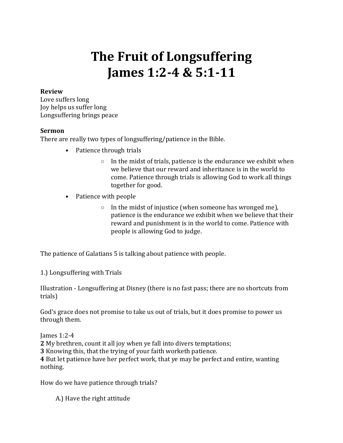### **The Fruit of Longsuffering James 1:2-4 & 5:1-11**

#### **Review**

Love suffers long Joy helps us suffer long Longsuffering brings peace

#### **Sermon**

There are really two types of longsuffering/patience in the Bible.

- Patience through trials
	- $\circ$  In the midst of trials, patience is the endurance we exhibit when we believe that our reward and inheritance is in the world to come. Patience through trials is allowing God to work all things together for good.
- Patience with people
	- $\circ$  In the midst of injustice (when someone has wronged me), patience is the endurance we exhibit when we believe that their reward and punishment is in the world to come. Patience with people is allowing God to judge.

The patience of Galatians 5 is talking about patience with people.

1.) Longsuffering with Trials

Illustration - Longsuffering at Disney (there is no fast pass; there are no shortcuts from trials)

God's grace does not promise to take us out of trials, but it does promise to power us through them.

James 1:2-4 **2** My brethren, count it all joy when ye fall into divers temptations;

**3** Knowing this, that the trying of your faith worketh patience.

**4** But let patience have her perfect work, that ye may be perfect and entire, wanting nothing.

How do we have patience through trials?

A.) Have the right attitude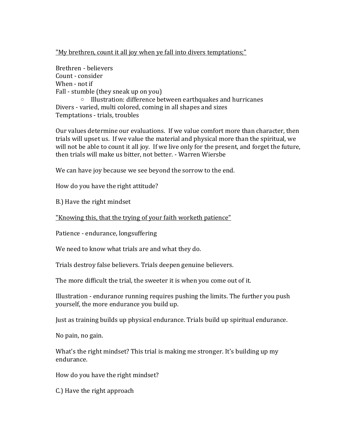#### "My brethren, count it all joy when ye fall into divers temptations;"

Brethren - believers Count - consider When - not if Fall - stumble (they sneak up on you) o Illustration: difference between earthquakes and hurricanes Divers - varied, multi colored, coming in all shapes and sizes Temptations - trials, troubles

Our values determine our evaluations. If we value comfort more than character, then trials will upset us. If we value the material and physical more than the spiritual, we will not be able to count it all joy. If we live only for the present, and forget the future, then trials will make us bitter, not better. - Warren Wiersbe

We can have joy because we see beyond the sorrow to the end.

How do you have the right attitude?

B.) Have the right mindset

"Knowing this, that the trying of your faith worketh patience"

Patience - endurance, longsuffering

We need to know what trials are and what they do.

Trials destroy false believers. Trials deepen genuine believers.

The more difficult the trial, the sweeter it is when you come out of it.

Illustration - endurance running requires pushing the limits. The further you push yourself, the more endurance you build up.

Just as training builds up physical endurance. Trials build up spiritual endurance.

No pain, no gain.

What's the right mindset? This trial is making me stronger. It's building up my endurance.

How do you have the right mindset?

C.) Have the right approach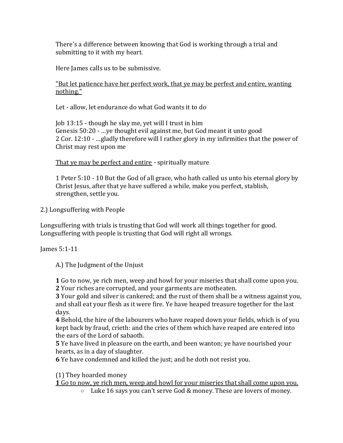There's a difference between knowing that God is working through a trial and submitting to it with my heart.

Here James calls us to be submissive.

#### "But let patience have her perfect work, that ye may be perfect and entire, wanting nothing."

Let - allow, let endurance do what God wants it to do

Job 13:15 - though he slay me, yet will I trust in him Genesis 50:20 - …ye thought evil against me, but God meant it unto good 2 Cor. 12:10 - …gladly therefore will I rather glory in my infirmities that the power of Christ may rest upon me

That ye may be perfect and entire - spiritually mature

1 Peter 5:10 - 10 But the God of all grace, who hath called us unto his eternal glory by Christ Jesus, after that ye have suffered a while, make you perfect, stablish, strengthen, settle you.

2.) Longsuffering with People

Longsuffering with trials is trusting that God will work all things together for good. Longsuffering with people is trusting that God will right all wrongs.

James 5:1-11

A.) The Judgment of the Unjust

**1** Go to now, ye rich men, weep and howl for your miseries that shall come upon you.

**2** Your riches are corrupted, and your garments are motheaten.

**3** Your gold and silver is cankered; and the rust of them shall be a witness against you, and shall eat your flesh as it were fire. Ye have heaped treasure together for the last days.

**4** Behold, the hire of the labourers who have reaped down your fields, which is of you kept back by fraud, crieth: and the cries of them which have reaped are entered into the ears of the Lord of sabaoth.

**5** Ye have lived in pleasure on the earth, and been wanton; ye have nourished your hearts, as in a day of slaughter.

**6** Ye have condemned and killed the just; and he doth not resist you.

(1) They hoarded money

**1** Go to now, ye rich men, weep and howl for your miseries that shall come upon you.

 $\circ$  Luke 16 says you can't serve God & money. These are lovers of money.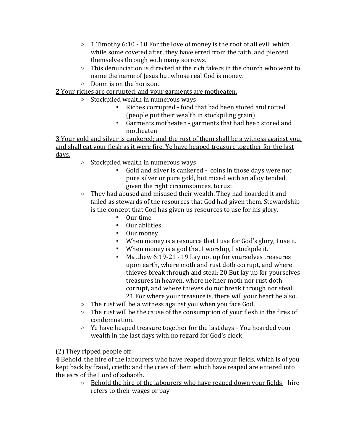- $\circ$  1 Timothy 6:10 10 For the love of money is the root of all evil: which while some coveted after, they have erred from the faith, and pierced themselves through with many sorrows.
- $\circ$  This denunciation is directed at the rich fakers in the church who want to name the name of Jesus but whose real God is money.
- o Doom is on the horizon.

### **2** Your riches are corrupted, and your garments are motheaten.

- o Stockpiled wealth in numerous ways
	- Riches corrupted food that had been stored and rotted (people put their wealth in stockpiling grain)
	- Garments motheaten garments that had been stored and motheaten

**3** Your gold and silver is cankered; and the rust of them shall be a witness against you, and shall eat your flesh as it were fire. Ye have heaped treasure together for the last days.

- o Stockpiled wealth in numerous ways
	- Gold and silver is cankered coins in those days were not pure silver or pure gold, but mixed with an alloy tended, given the right circumstances, to rust
- o They had abused and misused their wealth. They had hoarded it and failed as stewards of the resources that God had given them. Stewardship is the concept that God has given us resources to use for his glory.
	- Our time
	- Our abilities
	- Our money
	- When money is a resource that I use for God's glory, I use it.
	- When money is a god that I worship, I stockpile it.
	- Matthew 6:19-21 19 Lay not up for yourselves treasures upon earth, where moth and rust doth corrupt, and where thieves break through and steal: 20 But lay up for yourselves treasures in heaven, where neither moth nor rust doth corrupt, and where thieves do not break through nor steal: 21 For where your treasure is, there will your heart be also.
- o The rust will be a witness against you when you face God.
- o The rust will be the cause of the consumption of your flesh in the fires of condemnation.
- $\circ$  Ye have heaped treasure together for the last days You hoarded your wealth in the last days with no regard for God's clock

(2) They ripped people off

**4** Behold, the hire of the labourers who have reaped down your fields, which is of you kept back by fraud, crieth: and the cries of them which have reaped are entered into the ears of the Lord of sabaoth.

o Behold the hire of the labourers who have reaped down your fields - hire refers to their wages or pay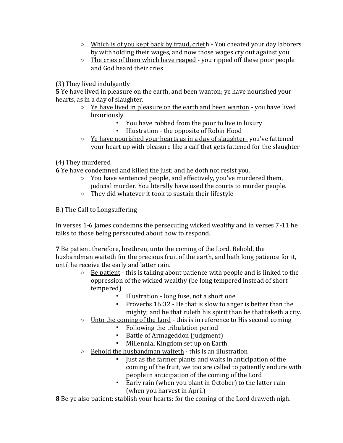- $\circ$  Which is of you kept back by fraud, crieth You cheated your day laborers by withholding their wages, and now those wages cry out against you
- $\circ$  The cries of them which have reaped you ripped off these poor people and God heard their cries

(3) They lived indulgently

**5** Ye have lived in pleasure on the earth, and been wanton; ye have nourished your hearts, as in a day of slaughter.

- $\circ$  Ye have lived in pleasure on the earth and been wanton you have lived luxuriously
	- You have robbed from the poor to live in luxury
	- Illustration the opposite of Robin Hood
- o Ye have nourished your hearts as in a day of slaughter- you've fattened your heart up with pleasure like a calf that gets fattened for the slaughter

(4) They murdered

**6** Ye have condemned and killed the just; and he doth not resist you.

- $\circ$  You have sentenced people, and effectively, you've murdered them, judicial murder. You literally have used the courts to murder people.
- o They did whatever it took to sustain their lifestyle

B.) The Call to Longsuffering

In verses 1-6 James condemns the persecuting wicked wealthy and in verses 7-11 he talks to those being persecuted about how to respond.

**7** Be patient therefore, brethren, unto the coming of the Lord. Behold, the husbandman waiteth for the precious fruit of the earth, and hath long patience for it, until he receive the early and latter rain.

- $\circ$  Be patient this is talking about patience with people and is linked to the oppression of the wicked wealthy (be long tempered instead of short tempered)
	- Illustration long fuse, not a short one
	- Proverbs 16:32 He that is slow to anger is better than the mighty; and he that ruleth his spirit than he that taketh a city.
- $\circ$  Unto the coming of the Lord this is in reference to His second coming
	- Following the tribulation period
	- Battle of Armageddon (judgment)
	- Millennial Kingdom set up on Earth
- o Behold the husbandman waiteth this is an illustration
	- Just as the farmer plants and waits in anticipation of the coming of the fruit, we too are called to patiently endure with people in anticipation of the coming of the Lord
	- Early rain (when you plant in October) to the latter rain (when you harvest in April)

**8** Be ye also patient; stablish your hearts: for the coming of the Lord draweth nigh.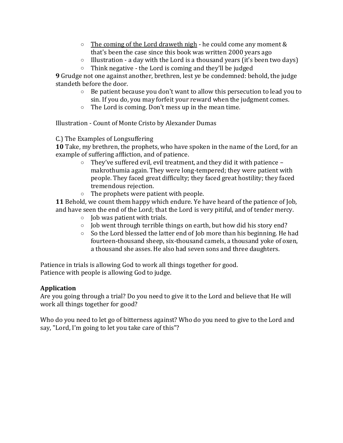- $\circ$  The coming of the Lord draweth nigh he could come any moment & that's been the case since this book was written 2000 years ago
- $\circ$  Illustration a day with the Lord is a thousand years (it's been two days)
- $\circ$  Think negative the Lord is coming and they'll be judged

**9** Grudge not one against another, brethren, lest ye be condemned: behold, the judge standeth before the door.

- o Be patient because you don't want to allow this persecution to lead you to sin. If you do, you may forfeit your reward when the judgment comes.
- o The Lord is coming. Don't mess up in the mean time.

Illustration - Count of Monte Cristo by Alexander Dumas

C.) The Examples of Longsuffering

**10** Take, my brethren, the prophets, who have spoken in the name of the Lord, for an example of suffering affliction, and of patience.

- o They've suffered evil, evil treatment, and they did it with patience makrothumia again. They were long-tempered; they were patient with people. They faced great difficulty; they faced great hostility; they faced tremendous rejection.
- o The prophets were patient with people.

**11** Behold, we count them happy which endure. Ye have heard of the patience of Job, and have seen the end of the Lord; that the Lord is very pitiful, and of tender mercy.

- o Job was patient with trials.
- o Job went through terrible things on earth, but how did his story end?
- o So the Lord blessed the latter end of Job more than his beginning. He had fourteen-thousand sheep, six-thousand camels, a thousand yoke of oxen, a thousand she asses. He also had seven sons and three daughters.

Patience in trials is allowing God to work all things together for good. Patience with people is allowing God to judge.

#### **Application**

Are you going through a trial? Do you need to give it to the Lord and believe that He will work all things together for good?

Who do you need to let go of bitterness against? Who do you need to give to the Lord and say, "Lord, I'm going to let you take care of this"?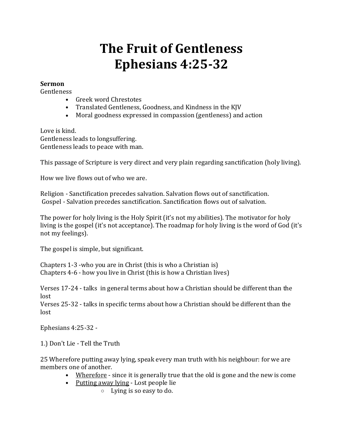# **The Fruit of Gentleness Ephesians 4:25-32**

#### **Sermon**

**Gentleness** 

- Greek word Chrestotes
- Translated Gentleness, Goodness, and Kindness in the KJV
- Moral goodness expressed in compassion (gentleness) and action

Love is kind. Gentleness leads to longsuffering. Gentleness leads to peace with man.

This passage of Scripture is very direct and very plain regarding sanctification (holy living).

How we live flows out of who we are.

Religion - Sanctification precedes salvation. Salvation flows out of sanctification. Gospel - Salvation precedes sanctification. Sanctification flows out of salvation.

The power for holy living is the Holy Spirit (it's not my abilities). The motivator for holy living is the gospel (it's not acceptance). The roadmap for holy living is the word of God (it's not my feelings).

The gospel is simple, but significant.

Chapters 1-3 -who you are in Christ (this is who a Christian is) Chapters 4-6 - how you live in Christ (this is how a Christian lives)

Verses 17-24 - talks in general terms about how a Christian should be different than the lost

Verses 25-32 - talks in specific terms about how a Christian should be different than the lost

Ephesians 4:25-32 -

1.) Don't Lie - Tell the Truth

25 Wherefore putting away lying, speak every man truth with his neighbour: for we are members one of another.

- Wherefore since it is generally true that the old is gone and the new is come
- Putting away lying Lost people lie
	- o Lying is so easy to do.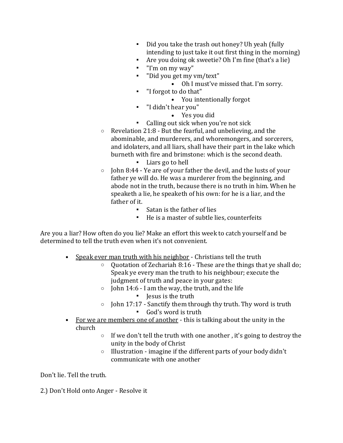- Did you take the trash out honey? Uh yeah (fully intending to just take it out first thing in the morning)
- Are you doing ok sweetie? Oh I'm fine (that's a lie)
- "I'm on my way"
- "Did you get my vm/text"
	- Oh I must've missed that. I'm sorry.
- "I forgot to do that"
	- You intentionally forgot
- "I didn't hear you"
	- Yes you did
- Calling out sick when you're not sick
- o Revelation 21:8 But the fearful, and unbelieving, and the abominable, and murderers, and whoremongers, and sorcerers, and idolaters, and all liars, shall have their part in the lake which burneth with fire and brimstone: which is the second death.
	- Liars go to hell
- o John 8:44 Ye are of your father the devil, and the lusts of your father ye will do. He was a murderer from the beginning, and abode not in the truth, because there is no truth in him. When he speaketh a lie, he speaketh of his own: for he is a liar, and the father of it.
	- Satan is the father of lies
	- He is a master of subtle lies, counterfeits

Are you a liar? How often do you lie? Make an effort this week to catch yourself and be determined to tell the truth even when it's not convenient.

- Speak ever man truth with his neighbor Christians tell the truth
	- o Quotation of Zechariah 8:16 These are the things that ye shall do; Speak ye every man the truth to his neighbour; execute the judgment of truth and peace in your gates:
	- $\circ$  John 14:6 I am the way, the truth, and the life ▪ Jesus is the truth
	- $\circ$  John 17:17 Sanctify them through thy truth. Thy word is truth ▪ God's word is truth
- For we are members one of another this is talking about the unity in the church
	- o If we don't tell the truth with one another , it's going to destroy the unity in the body of Christ
	- o Illustration imagine if the different parts of your body didn't communicate with one another

Don't lie. Tell the truth.

2.) Don't Hold onto Anger - Resolve it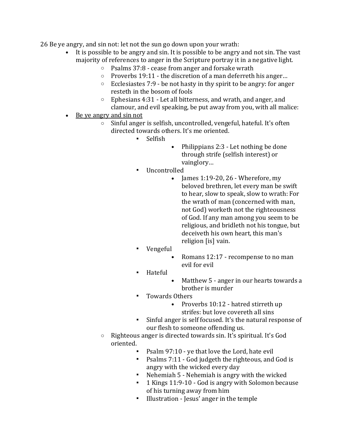26 Be ye angry, and sin not: let not the sun go down upon your wrath:

- It is possible to be angry and sin. It is possible to be angry and not sin. The vast majority of references to anger in the Scripture portray it in a negative light.
	- o Psalms 37:8 cease from anger and forsake wrath
	- o Proverbs 19:11 the discretion of a man deferreth his anger…
	- $\circ$  Ecclesiastes 7:9 be not hasty in thy spirit to be angry: for anger resteth in the bosom of fools
	- o Ephesians 4:31 Let all bitterness, and wrath, and anger, and clamour, and evil speaking, be put away from you, with all malice:
- Be ye angry and sin not
	- o Sinful anger is selfish, uncontrolled, vengeful, hateful. It's often directed towards others. It's me oriented.
		- **Selfish**
- Philippians 2:3 Let nothing be done through strife (selfish interest) or vainglory…
- **Uncontrolled** 
	- James  $1:19-20$ ,  $26$  Wherefore, my beloved brethren, let every man be swift to hear, slow to speak, slow to wrath: For the wrath of man (concerned with man, not God) worketh not the righteousness of God. If any man among you seem to be religious, and bridleth not his tongue, but deceiveth his own heart, this man's religion [is] vain.
- Vengeful
	- Romans 12:17 recompense to no man evil for evil
- **Hateful** 
	- Matthew 5 anger in our hearts towards a brother is murder
- Towards Others
	- Proverbs 10:12 hatred stirreth up strifes: but love covereth all sins
- Sinful anger is self focused. It's the natural response of our flesh to someone offending us.
- o Righteous anger is directed towards sin. It's spiritual. It's God oriented.
	- Psalm 97:10 ye that love the Lord, hate evil
	- Psalms 7:11 God judgeth the righteous, and God is angry with the wicked every day
	- Nehemiah 5 Nehemiah is angry with the wicked
	- 1 Kings 11:9-10 God is angry with Solomon because of his turning away from him
	- Illustration Jesus' anger in the temple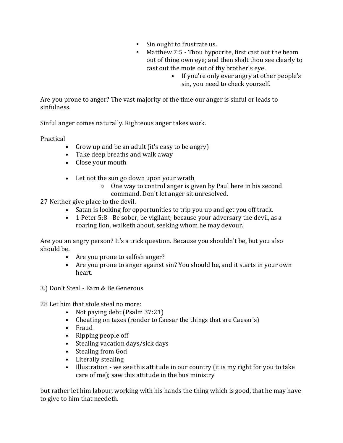- Sin ought to frustrate us.
- Matthew 7:5 Thou hypocrite, first cast out the beam out of thine own eye; and then shalt thou see clearly to cast out the mote out of thy brother's eye.
	- If you're only ever angry at other people's sin, you need to check yourself.

Are you prone to anger? The vast majority of the time our anger is sinful or leads to sinfulness.

Sinful anger comes naturally. Righteous anger takes work.

Practical

- Grow up and be an adult (it's easy to be angry)
- Take deep breaths and walk away
- Close your mouth
- Let not the sun go down upon your wrath
	- o One way to control anger is given by Paul here in his second command. Don't let anger sit unresolved.

27 Neither give place to the devil.

- Satan is looking for opportunities to trip you up and get you off track.
- 1 Peter 5:8 Be sober, be vigilant; because your adversary the devil, as a roaring lion, walketh about, seeking whom he may devour.

Are you an angry person? It's a trick question. Because you shouldn't be, but you also should be.

- Are you prone to selfish anger?
- Are you prone to anger against sin? You should be, and it starts in your own heart.
- 3.) Don't Steal Earn & Be Generous
- 28 Let him that stole steal no more:
	- Not paying debt (Psalm 37:21)
	- Cheating on taxes (render to Caesar the things that are Caesar's)
	- Fraud
	- Ripping people off
	- Stealing vacation days/sick days
	- Stealing from God
	- Literally stealing
	- Illustration we see this attitude in our country (it is my right for you to take care of me); saw this attitude in the bus ministry

but rather let him labour, working with his hands the thing which is good, that he may have to give to him that needeth.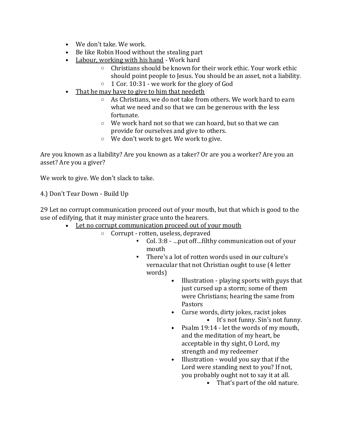- We don't take. We work.
- Be like Robin Hood without the stealing part
- Labour, working with his hand Work hard
	- o Christians should be known for their work ethic. Your work ethic should point people to Jesus. You should be an asset, not a liability.
	- $\circ$  1 Cor. 10:31 we work for the glory of God
- That he may have to give to him that needeth
	- o As Christians, we do not take from others. We work hard to earn what we need and so that we can be generous with the less fortunate.
	- o We work hard not so that we can hoard, but so that we can provide for ourselves and give to others.
	- o We don't work to get. We work to give.

Are you known as a liability? Are you known as a taker? Or are you a worker? Are you an asset? Are you a giver?

We work to give. We don't slack to take.

4.) Don't Tear Down - Build Up

29 Let no corrupt communication proceed out of your mouth, but that which is good to the use of edifying, that it may minister grace unto the hearers.

- Let no corrupt communication proceed out of your mouth
	- o Corrupt rotten, useless, depraved
		- Col. 3:8 …put off…filthy communication out of your mouth
		- There's a lot of rotten words used in our culture's vernacular that not Christian ought to use (4 letter words)
			- Illustration playing sports with guys that just cursed up a storm; some of them were Christians; hearing the same from Pastors
			- Curse words, dirty jokes, racist jokes • It's not funny. Sin's not funny.
			- Psalm 19:14 let the words of my mouth, and the meditation of my heart, be acceptable in thy sight, O Lord, my strength and my redeemer
			- Illustration would you say that if the Lord were standing next to you? If not, you probably ought not to say it at all.
				- That's part of the old nature.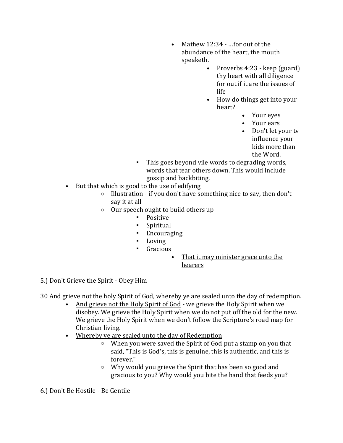- Mathew 12:34 …for out of the abundance of the heart, the mouth speaketh.
	- Proverbs 4:23 keep (guard) thy heart with all diligence for out if it are the issues of life
	- How do things get into your heart?
		- Your eyes
		- Your ears
		- Don't let your tv influence your kids more than the Word.
- This goes beyond vile words to degrading words, words that tear others down. This would include gossip and backbiting.
- But that which is good to the use of edifying
	- $\circ$  Illustration if you don't have something nice to say, then don't say it at all
	- o Our speech ought to build others up
		- Positive
		- Spiritual
		- Encouraging
		- Loving
		- Gracious
			- That it may minister grace unto the hearers

5.) Don't Grieve the Spirit - Obey Him

30 And grieve not the holy Spirit of God, whereby ye are sealed unto the day of redemption.

- And grieve not the Holy Spirit of God we grieve the Holy Spirit when we disobey. We grieve the Holy Spirit when we do not put off the old for the new. We grieve the Holy Spirit when we don't follow the Scripture's road map for Christian living.
- Whereby ye are sealed unto the day of Redemption
	- o When you were saved the Spirit of God put a stamp on you that said, "This is God's, this is genuine, this is authentic, and this is forever."
	- o Why would you grieve the Spirit that has been so good and gracious to you? Why would you bite the hand that feeds you?

6.) Don't Be Hostile - Be Gentile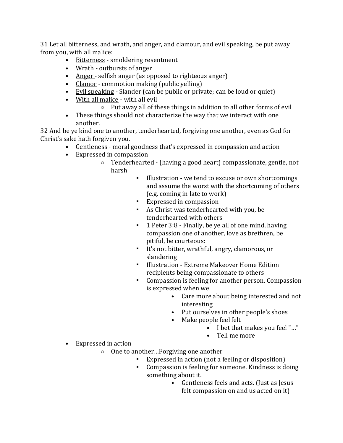31 Let all bitterness, and wrath, and anger, and clamour, and evil speaking, be put away from you, with all malice:

- Bitterness smoldering resentment
- Wrath outbursts of anger
- Anger selfish anger (as opposed to righteous anger)
- Clamor commotion making (public yelling)
- Evil speaking Slander (can be public or private; can be loud or quiet)
- With all malice with all evil
	- o Put away all of these things in addition to all other forms of evil
- These things should not characterize the way that we interact with one another.

32 And be ye kind one to another, tenderhearted, forgiving one another, even as God for Christ's sake hath forgiven you.

- Gentleness moral goodness that's expressed in compassion and action
- Expressed in compassion
	- o Tenderhearted (having a good heart) compassionate, gentle, not harsh
		- Illustration we tend to excuse or own shortcomings and assume the worst with the shortcoming of others (e.g. coming in late to work)
		- Expressed in compassion
		- As Christ was tenderhearted with you, be tenderhearted with others
		- 1 Peter 3:8 Finally, be ye all of one mind, having compassion one of another, love as brethren, be pitiful, be courteous:
		- It's not bitter, wrathful, angry, clamorous, or slandering
		- Illustration Extreme Makeover Home Edition recipients being compassionate to others
		- Compassion is feeling for another person. Compassion is expressed when we
			- Care more about being interested and not interesting
			- Put ourselves in other people's shoes
			- Make people feel felt
				- I bet that makes you feel "..."
				- Tell me more
- Expressed in action
	- o One to another…Forgiving one another
		- Expressed in action (not a feeling or disposition)
		- Compassion is feeling for someone. Kindness is doing something about it.
			- Gentleness feels and acts. (Just as Jesus felt compassion on and us acted on it)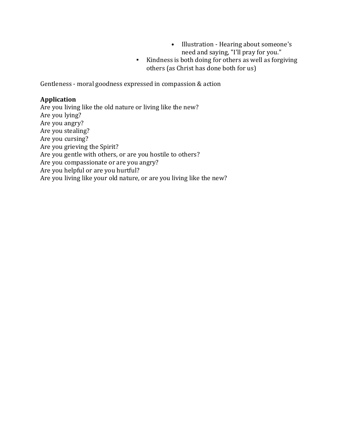- Illustration Hearing about someone's need and saying, "I'll pray for you."
- Kindness is both doing for others as well as forgiving others (as Christ has done both for us)

Gentleness - moral goodness expressed in compassion & action

#### **Application**

Are you living like the old nature or living like the new? Are you lying? Are you angry? Are you stealing? Are you cursing? Are you grieving the Spirit? Are you gentle with others, or are you hostile to others? Are you compassionate or are you angry? Are you helpful or are you hurtful? Are you living like your old nature, or are you living like the new?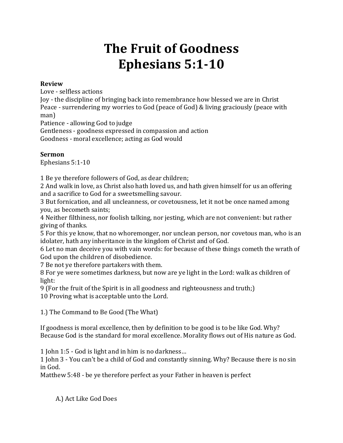# **The Fruit of Goodness Ephesians 5:1-10**

#### **Review**

Love - selfless actions

Joy - the discipline of bringing back into remembrance how blessed we are in Christ Peace - surrendering my worries to God (peace of God) & living graciously (peace with man)

Patience - allowing God to judge

Gentleness - goodness expressed in compassion and action Goodness - moral excellence; acting as God would

### **Sermon**

Ephesians 5:1-10

1 Be ye therefore followers of God, as dear children;

2 And walk in love, as Christ also hath loved us, and hath given himself for us an offering and a sacrifice to God for a sweetsmelling savour.

3 But fornication, and all uncleanness, or covetousness, let it not be once named among you, as becometh saints;

4 Neither filthiness, nor foolish talking, nor jesting, which are not convenient: but rather giving of thanks.

5 For this ye know, that no whoremonger, nor unclean person, nor covetous man, who is an idolater, hath any inheritance in the kingdom of Christ and of God.

6 Let no man deceive you with vain words: for because of these things cometh the wrath of God upon the children of disobedience.

7 Be not ye therefore partakers with them.

8 For ye were sometimes darkness, but now are ye light in the Lord: walk as children of light:

9 (For the fruit of the Spirit is in all goodness and righteousness and truth;) 10 Proving what is acceptable unto the Lord.

1.) The Command to Be Good (The What)

If goodness is moral excellence, then by definition to be good is to be like God. Why? Because God is the standard for moral excellence. Morality flows out of His nature as God.

1 John 1:5 - God is light and in him is no darkness…

1 John 3 - You can't be a child of God and constantly sinning. Why? Because there is no sin in God.

Matthew 5:48 - be ye therefore perfect as your Father in heaven is perfect

A.) Act Like God Does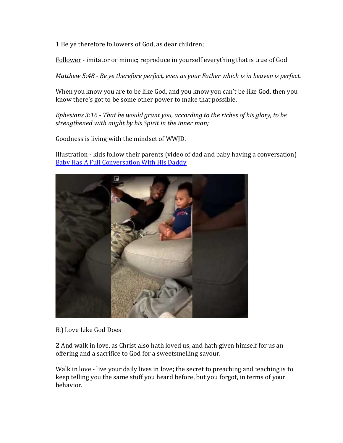**1** Be ye therefore followers of God, as dear children;

Follower - imitator or mimic; reproduce in yourself everything that is true of God

*Matthew 5:48 - Be ye therefore perfect, even as your Father which is in heaven is perfect.*

When you know you are to be like God, and you know you can't be like God, then you know there's got to be some other power to make that possible.

*Ephesians 3:16 - That he would grant you, according to the riches of his glory, to be strengthened with might by his Spirit in the inner man;*

Goodness is living with the mindset of WWJD.

Illustration - kids follow their parents (video of dad and baby having a conversation) [Baby Has A Full Conversation With His Daddy](https://www.youtube.com/watch?v=FsxdyRZVGrc)



B.) Love Like God Does

**2** And walk in love, as Christ also hath loved us, and hath given himself for us an offering and a sacrifice to God for a sweetsmelling savour.

Walk in love - live your daily lives in love; the secret to preaching and teaching is to keep telling you the same stuff you heard before, but you forgot, in terms of your behavior.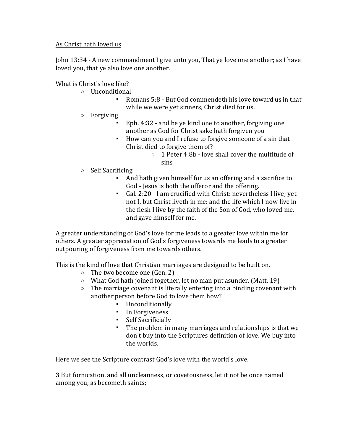#### As Christ hath loved us

John 13:34 - A new commandment I give unto you, That ye love one another; as I have loved you, that ye also love one another.

What is Christ's love like?

- o Unconditional
	- Romans 5:8 But God commendeth his love toward us in that while we were yet sinners, Christ died for us.
- o Forgiving
	- Eph. 4:32 and be ye kind one to another, forgiving one another as God for Christ sake hath forgiven you
	- How can you and I refuse to forgive someone of a sin that Christ died to forgive them of?
		- o 1 Peter 4:8b love shall cover the multitude of sins
- o Self Sacrificing
	- And hath given himself for us an offering and a sacrifice to God - Jesus is both the offeror and the offering.
	- Gal. 2:20 I am crucified with Christ: nevertheless I live; yet not I, but Christ liveth in me: and the life which I now live in the flesh I live by the faith of the Son of God, who loved me, and gave himself for me.

A greater understanding of God's love for me leads to a greater love within me for others. A greater appreciation of God's forgiveness towards me leads to a greater outpouring of forgiveness from me towards others.

This is the kind of love that Christian marriages are designed to be built on.

- o The two become one (Gen. 2)
- $\circ$  What God hath joined together, let no man put asunder. (Matt. 19)
- $\circ$  The marriage covenant is literally entering into a binding covenant with another person before God to love them how?
	- Unconditionally
	- In Forgiveness
	- Self Sacrificially
	- The problem in many marriages and relationships is that we don't buy into the Scriptures definition of love. We buy into the worlds.

Here we see the Scripture contrast God's love with the world's love.

**3** But fornication, and all uncleanness, or covetousness, let it not be once named among you, as becometh saints;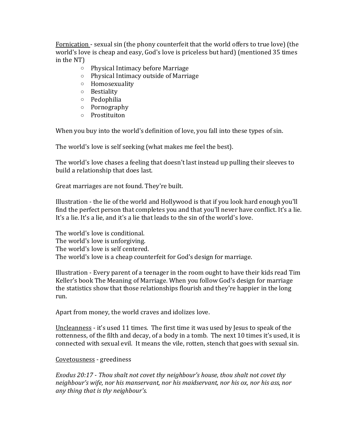Fornication - sexual sin (the phony counterfeit that the world offers to true love) (the world's love is cheap and easy, God's love is priceless but hard) (mentioned 35 times in the NT)

- o Physical Intimacy before Marriage
- o Physical Intimacy outside of Marriage
- o Homosexuality
- o Bestiality
- o Pedophilia
- o Pornography
- o Prostituiton

When you buy into the world's definition of love, you fall into these types of sin.

The world's love is self seeking (what makes me feel the best).

The world's love chases a feeling that doesn't last instead up pulling their sleeves to build a relationship that does last.

Great marriages are not found. They're built.

Illustration - the lie of the world and Hollywood is that if you look hard enough you'll find the perfect person that completes you and that you'll never have conflict. It's a lie. It's a lie. It's a lie, and it's a lie that leads to the sin of the world's love.

The world's love is conditional. The world's love is unforgiving. The world's love is self centered. The world's love is a cheap counterfeit for God's design for marriage.

Illustration - Every parent of a teenager in the room ought to have their kids read Tim Keller's book The Meaning of Marriage. When you follow God's design for marriage the statistics show that those relationships flourish and they're happier in the long run.

Apart from money, the world craves and idolizes love.

Uncleanness - it's used 11 times. The first time it was used by Jesus to speak of the rottenness, of the filth and decay, of a body in a tomb. The next 10 times it's used, it is connected with sexual evil. It means the vile, rotten, stench that goes with sexual sin.

#### Covetousness - greediness

*Exodus 20:17 - Thou shalt not covet thy neighbour's house, thou shalt not covet thy neighbour's wife, nor his manservant, nor his maidservant, nor his ox, nor his ass, nor any thing that is thy neighbour's.*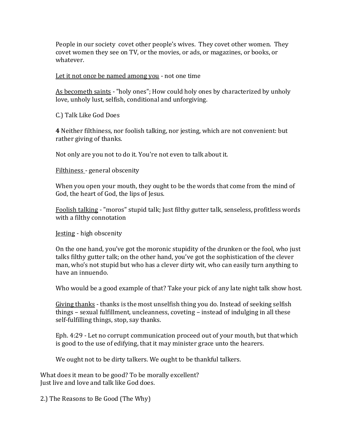People in our society covet other people's wives. They covet other women. They covet women they see on TV, or the movies, or ads, or magazines, or books, or whatever.

Let it not once be named among you - not one time

As becometh saints - "holy ones"; How could holy ones by characterized by unholy love, unholy lust, selfish, conditional and unforgiving.

C.) Talk Like God Does

**4** Neither filthiness, nor foolish talking, nor jesting, which are not convenient: but rather giving of thanks.

Not only are you not to do it. You're not even to talk about it.

Filthiness - general obscenity

When you open your mouth, they ought to be the words that come from the mind of God, the heart of God, the lips of Jesus.

Foolish talking - "moros" stupid talk; Just filthy gutter talk, senseless, profitless words with a filthy connotation

Jesting - high obscenity

On the one hand, you've got the moronic stupidity of the drunken or the fool, who just talks filthy gutter talk; on the other hand, you've got the sophistication of the clever man, who's not stupid but who has a clever dirty wit, who can easily turn anything to have an innuendo.

Who would be a good example of that? Take your pick of any late night talk show host.

Giving thanks - thanks is the most unselfish thing you do. Instead of seeking selfish things – sexual fulfillment, uncleanness, coveting – instead of indulging in all these self-fulfilling things, stop, say thanks.

Eph. 4:29 - Let no corrupt communication proceed out of your mouth, but that which is good to the use of edifying, that it may minister grace unto the hearers.

We ought not to be dirty talkers. We ought to be thankful talkers.

What does it mean to be good? To be morally excellent? Just live and love and talk like God does.

2.) The Reasons to Be Good (The Why)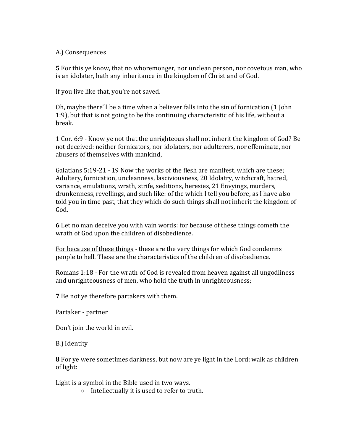#### A.) Consequences

**5** For this ye know, that no whoremonger, nor unclean person, nor covetous man, who is an idolater, hath any inheritance in the kingdom of Christ and of God.

If you live like that, you're not saved.

Oh, maybe there'll be a time when a believer falls into the sin of fornication (1 John 1:9), but that is not going to be the continuing characteristic of his life, without a break.

1 Cor. 6:9 - Know ye not that the unrighteous shall not inherit the kingdom of God? Be not deceived: neither fornicators, nor idolaters, nor adulterers, nor effeminate, nor abusers of themselves with mankind,

Galatians 5:19-21 - 19 Now the works of the flesh are manifest, which are these; Adultery, fornication, uncleanness, lasciviousness, 20 Idolatry, witchcraft, hatred, variance, emulations, wrath, strife, seditions, heresies, 21 Envyings, murders, drunkenness, revellings, and such like: of the which I tell you before, as I have also told you in time past, that they which do such things shall not inherit the kingdom of God.

**6** Let no man deceive you with vain words: for because of these things cometh the wrath of God upon the children of disobedience.

For because of these things - these are the very things for which God condemns people to hell. These are the characteristics of the children of disobedience.

Romans 1:18 - For the wrath of God is revealed from heaven against all ungodliness and unrighteousness of men, who hold the truth in unrighteousness;

**7** Be not ye therefore partakers with them.

Partaker - partner

Don't join the world in evil.

B.) Identity

**8** For ye were sometimes darkness, but now are ye light in the Lord: walk as children of light:

Light is a symbol in the Bible used in two ways.

o Intellectually it is used to refer to truth.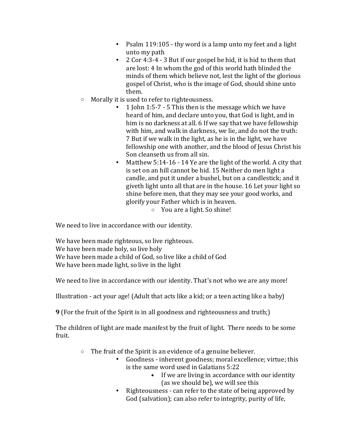- Psalm 119:105 thy word is a lamp unto my feet and a light unto my path
- 2 Cor 4:3-4 3 But if our gospel be hid, it is hid to them that are lost: 4 In whom the god of this world hath blinded the minds of them which believe not, lest the light of the glorious gospel of Christ, who is the image of God, should shine unto them.
- o Morally it is used to refer to righteousness.
	- 1 John 1:5-7 5 This then is the message which we have heard of him, and declare unto you, that God is light, and in him is no darkness at all. 6 If we say that we have fellowship with him, and walk in darkness, we lie, and do not the truth: 7 But if we walk in the light, as he is in the light, we have fellowship one with another, and the blood of Jesus Christ his Son cleanseth us from all sin.
	- Matthew 5:14-16 14 Ye are the light of the world. A city that is set on an hill cannot be hid. 15 Neither do men light a candle, and put it under a bushel, but on a candlestick; and it giveth light unto all that are in the house. 16 Let your light so shine before men, that they may see your good works, and glorify your Father which is in heaven.
		- o You are a light. So shine!

We need to live in accordance with our identity.

We have been made righteous, so live righteous. We have been made holy, so live holy We have been made a child of God, so live like a child of God We have been made light, so live in the light

We need to live in accordance with our identity. That's not who we are any more!

Illustration - act your age! (Adult that acts like a kid; or a teen acting like a baby)

**9** (For the fruit of the Spirit is in all goodness and righteousness and truth;)

The children of light are made manifest by the fruit of light. There needs to be some fruit.

- o The fruit of the Spirit is an evidence of a genuine believer.
	- Goodness inherent goodness; moral excellence; virtue; this is the same word used in Galatians 5:22
		- If we are living in accordance with our identity (as we should be), we will see this
	- Righteousness can refer to the state of being approved by God (salvation); can also refer to integrity, purity of life,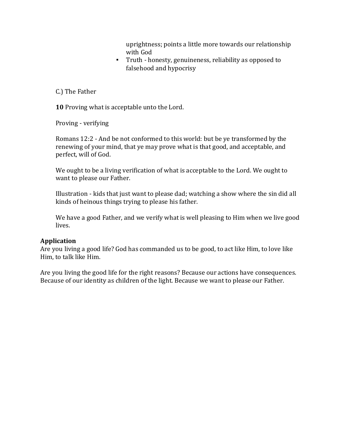uprightness; points a little more towards our relationship with God

▪ Truth - honesty, genuineness, reliability as opposed to falsehood and hypocrisy

C.) The Father

**10** Proving what is acceptable unto the Lord.

Proving - verifying

Romans 12:2 - And be not conformed to this world: but be ye transformed by the renewing of your mind, that ye may prove what is that good, and acceptable, and perfect, will of God.

We ought to be a living verification of what is acceptable to the Lord. We ought to want to please our Father.

Illustration - kids that just want to please dad; watching a show where the sin did all kinds of heinous things trying to please his father.

We have a good Father, and we verify what is well pleasing to Him when we live good lives.

#### **Application**

Are you living a good life? God has commanded us to be good, to act like Him, to love like Him, to talk like Him.

Are you living the good life for the right reasons? Because our actions have consequences. Because of our identity as children of the light. Because we want to please our Father.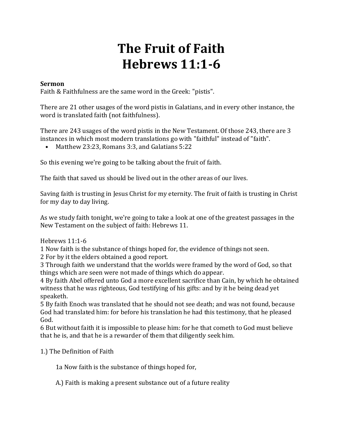## **The Fruit of Faith Hebrews 11:1-6**

#### **Sermon**

Faith & Faithfulness are the same word in the Greek: "pistis".

There are 21 other usages of the word pistis in Galatians, and in every other instance, the word is translated faith (not faithfulness).

There are 243 usages of the word pistis in the New Testament. Of those 243, there are 3 instances in which most modern translations go with "faithful" instead of "faith".

• Matthew 23:23, Romans 3:3, and Galatians 5:22

So this evening we're going to be talking about the fruit of faith.

The faith that saved us should be lived out in the other areas of our lives.

Saving faith is trusting in Jesus Christ for my eternity. The fruit of faith is trusting in Christ for my day to day living.

As we study faith tonight, we're going to take a look at one of the greatest passages in the New Testament on the subject of faith: Hebrews 11.

Hebrews 11:1-6

1 Now faith is the substance of things hoped for, the evidence of things not seen.

2 For by it the elders obtained a good report.

3 Through faith we understand that the worlds were framed by the word of God, so that things which are seen were not made of things which do appear.

4 By faith Abel offered unto God a more excellent sacrifice than Cain, by which he obtained witness that he was righteous, God testifying of his gifts: and by it he being dead yet speaketh.

5 By faith Enoch was translated that he should not see death; and was not found, because God had translated him: for before his translation he had this testimony, that he pleased God.

6 But without faith it is impossible to please him: for he that cometh to God must believe that he is, and that he is a rewarder of them that diligently seek him.

1.) The Definition of Faith

1a Now faith is the substance of things hoped for,

A.) Faith is making a present substance out of a future reality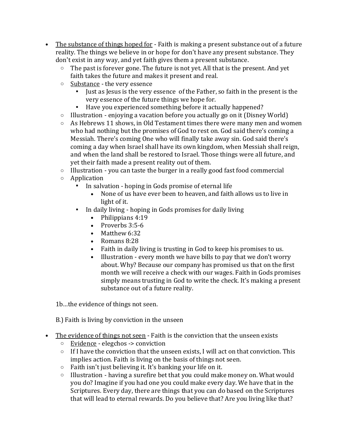- The substance of things hoped for Faith is making a present substance out of a future reality. The things we believe in or hope for don't have any present substance. They don't exist in any way, and yet faith gives them a present substance.
	- $\circ$  The past is forever gone. The future is not yet. All that is the present. And yet faith takes the future and makes it present and real.
	- o Substance the very essence
		- Just as Jesus is the very essence of the Father, so faith in the present is the very essence of the future things we hope for.
		- Have you experienced something before it actually happened?
	- $\circ$  Illustration enjoying a vacation before you actually go on it (Disney World)
	- $\circ$  As Hebrews 11 shows, in Old Testament times there were many men and women who had nothing but the promises of God to rest on. God said there's coming a Messiah. There's coming One who will finally take away sin. God said there's coming a day when Israel shall have its own kingdom, when Messiah shall reign, and when the land shall be restored to Israel. Those things were all future, and yet their faith made a present reality out of them.
	- o Illustration you can taste the burger in a really good fast food commercial
	- o Application
		- In salvation hoping in Gods promise of eternal life
			- None of us have ever been to heaven, and faith allows us to live in light of it.
		- In daily living hoping in Gods promises for daily living
			- Philippians 4:19
			- Proverbs 3:5-6
			- Matthew 6:32
			- Romans 8:28
			- Faith in daily living is trusting in God to keep his promises to us.
			- Illustration every month we have bills to pay that we don't worry about. Why? Because our company has promised us that on the first month we will receive a check with our wages. Faith in Gods promises simply means trusting in God to write the check. It's making a present substance out of a future reality.

1b…the evidence of things not seen.

B.) Faith is living by conviction in the unseen

- The evidence of things not seen Faith is the conviction that the unseen exists
	- o Evidence elegchos -> conviction
	- $\circ$  If I have the conviction that the unseen exists. I will act on that conviction. This implies action. Faith is living on the basis of things not seen.
	- o Faith isn't just believing it. It's banking your life on it.
	- o Illustration having a surefire bet that you could make money on. What would you do? Imagine if you had one you could make every day. We have that in the Scriptures. Every day, there are things that you can do based on the Scriptures that will lead to eternal rewards. Do you believe that? Are you living like that?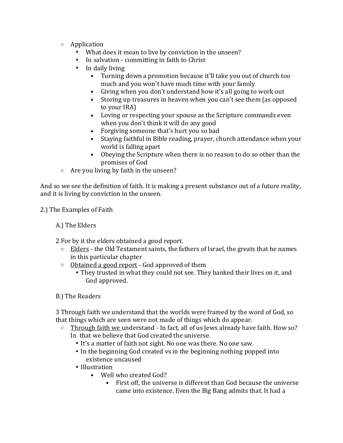- o Application
	- What does it mean to live by conviction in the unseen?
	- In salvation committing in faith to Christ
	- **•** In daily living
		- Turning down a promotion because it'll take you out of church too much and you won't have much time with your family
		- Giving when you don't understand how it's all going to work out
		- Storing up treasures in heaven when you can't see them (as opposed to your IRA)
		- Loving or respecting your spouse as the Scripture commands even when you don't think it will do any good
		- Forgiving someone that's hurt you so bad
		- Staying faithful in Bible reading, prayer, church attendance when your world is falling apart
		- Obeying the Scripture when there is no reason to do so other than the promises of God
- o Are you living by faith in the unseen?

And so we see the definition of faith. It is making a present substance out of a future reality, and it is living by conviction in the unseen.

2.) The Examples of Faith

A.) The Elders

2 For by it the elders obtained a good report.

- $\circ$  Elders the Old Testament saints, the fathers of Israel, the greats that he names in this particular chapter
- o Obtained a good report God approved of them
	- They trusted in what they could not see. They banked their lives on it, and God approved.
- B.) The Readers

3 Through faith we understand that the worlds were framed by the word of God, so that things which are seen were not made of things which do appear.

- o Through faith we understand In fact, all of us Jews already have faith. How so? In that we believe that God created the universe.
	- It's a matter of faith not sight. No one was there. No one saw.
	- In the beginning God created vs in the beginning nothing popped into existence uncaused
	- Illustration
		- Well who created God?
			- First off, the universe is different than God because the universe came into existence. Even the Big Bang admits that. It had a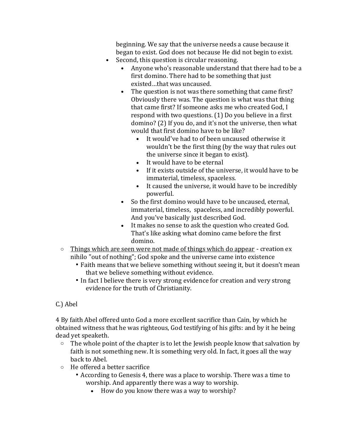beginning. We say that the universe needs a cause because it began to exist. God does not because He did not begin to exist.

- Second, this question is circular reasoning.
	- Anyone who's reasonable understand that there had to be a first domino. There had to be something that just existed…that was uncaused.
	- The question is not was there something that came first? Obviously there was. The question is what was that thing that came first? If someone asks me who created God, I respond with two questions. (1) Do you believe in a first domino? (2) If you do, and it's not the universe, then what would that first domino have to be like?
		- It would've had to of been uncaused otherwise it wouldn't be the first thing (by the way that rules out the universe since it began to exist).
		- It would have to be eternal
		- If it exists outside of the universe, it would have to be immaterial, timeless, spaceless.
		- It caused the universe, it would have to be incredibly powerful.
	- So the first domino would have to be uncaused, eternal, immaterial, timeless, spaceless, and incredibly powerful. And you've basically just described God.
	- It makes no sense to ask the question who created God. That's like asking what domino came before the first domino.
- o Things which are seen were not made of things which do appear creation ex nihilo "out of nothing"; God spoke and the universe came into existence
	- Faith means that we believe something without seeing it, but it doesn't mean that we believe something without evidence.
	- In fact I believe there is very strong evidence for creation and very strong evidence for the truth of Christianity.

### C.) Abel

4 By faith Abel offered unto God a more excellent sacrifice than Cain, by which he obtained witness that he was righteous, God testifying of his gifts: and by it he being dead yet speaketh.

- $\circ$  The whole point of the chapter is to let the Jewish people know that salvation by faith is not something new. It is something very old. In fact, it goes all the way back to Abel.
- o He offered a better sacrifice
	- According to Genesis 4, there was a place to worship. There was a time to worship. And apparently there was a way to worship.
		- How do you know there was a way to worship?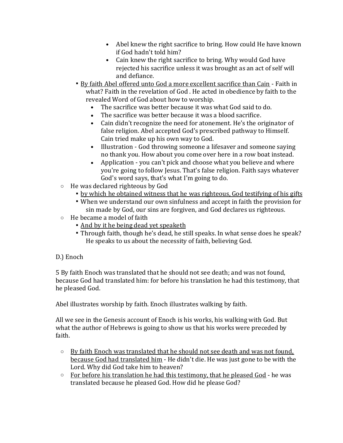- Abel knew the right sacrifice to bring. How could He have known if God hadn't told him?
- Cain knew the right sacrifice to bring. Why would God have rejected his sacrifice unless it was brought as an act of self will and defiance.
- By faith Abel offered unto God a more excellent sacrifice than Cain Faith in what? Faith in the revelation of God . He acted in obedience by faith to the revealed Word of God about how to worship.
	- The sacrifice was better because it was what God said to do.
	- The sacrifice was better because it was a blood sacrifice.
	- Cain didn't recognize the need for atonement. He's the originator of false religion. Abel accepted God's prescribed pathway to Himself. Cain tried make up his own way to God.
	- Illustration God throwing someone a lifesaver and someone saying no thank you. How about you come over here in a row boat instead.
	- Application you can't pick and choose what you believe and where you're going to follow Jesus. That's false religion. Faith says whatever God's word says, that's what I'm going to do.
- o He was declared righteous by God
	- by which he obtained witness that he was righteous, God testifying of his gifts
	- When we understand our own sinfulness and accept in faith the provision for sin made by God, our sins are forgiven, and God declares us righteous.
- o He became a model of faith
	- And by it he being dead yet speaketh
	- Through faith, though he's dead, he still speaks. In what sense does he speak? He speaks to us about the necessity of faith, believing God.

### D.) Enoch

5 By faith Enoch was translated that he should not see death; and was not found, because God had translated him: for before his translation he had this testimony, that he pleased God.

Abel illustrates worship by faith. Enoch illustrates walking by faith.

All we see in the Genesis account of Enoch is his works, his walking with God. But what the author of Hebrews is going to show us that his works were preceded by faith.

- $\circ$  By faith Enoch was translated that he should not see death and was not found, because God had translated him - He didn't die. He was just gone to be with the Lord. Why did God take him to heaven?
- $\circ$  For before his translation he had this testimony, that he pleased God he was translated because he pleased God. How did he please God?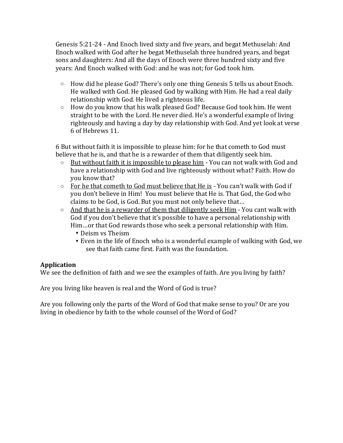Genesis 5:21-24 - And Enoch lived sixty and five years, and begat Methuselah: And Enoch walked with God after he begat Methuselah three hundred years, and begat sons and daughters: And all the days of Enoch were three hundred sixty and five years: And Enoch walked with God: and he was not; for God took him.

- $\circ$  How did he please God? There's only one thing Genesis 5 tells us about Enoch. He walked with God. He pleased God by walking with Him. He had a real daily relationship with God. He lived a righteous life.
- $\circ$  How do you know that his walk pleased God? Because God took him. He went straight to be with the Lord. He never died. He's a wonderful example of living righteously and having a day by day relationship with God. And yet look at verse 6 of Hebrews 11.

6 But without faith it is impossible to please him: for he that cometh to God must believe that he is, and that he is a rewarder of them that diligently seek him.

- $\circ$  But without faith it is impossible to please him You can not walk with God and have a relationship with God and live righteously without what? Faith. How do you know that?
- $\circ$  For he that cometh to God must believe that He is You can't walk with God if you don't believe in Him! You must believe that He is. That God, the God who claims to be God, is God. But you must not only believe that…
- $\circ$  And that he is a rewarder of them that diligently seek Him You cant walk with God if you don't believe that it's possible to have a personal relationship with Him…or that God rewards those who seek a personal relationship with Him.
	- Deism vs Theism
	- Even in the life of Enoch who is a wonderful example of walking with God, we see that faith came first. Faith was the foundation.

### **Application**

We see the definition of faith and we see the examples of faith. Are you living by faith?

Are you living like heaven is real and the Word of God is true?

Are you following only the parts of the Word of God that make sense to you? Or are you living in obedience by faith to the whole counsel of the Word of God?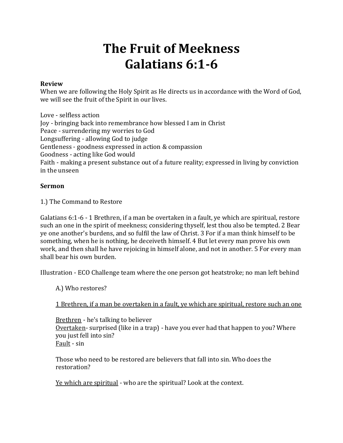# **The Fruit of Meekness Galatians 6:1-6**

#### **Review**

When we are following the Holy Spirit as He directs us in accordance with the Word of God, we will see the fruit of the Spirit in our lives.

Love - selfless action Joy - bringing back into remembrance how blessed I am in Christ Peace - surrendering my worries to God Longsuffering - allowing God to judge Gentleness - goodness expressed in action & compassion Goodness - acting like God would Faith - making a present substance out of a future reality; expressed in living by conviction in the unseen

#### **Sermon**

1.) The Command to Restore

Galatians 6:1-6 - 1 Brethren, if a man be overtaken in a fault, ye which are spiritual, restore such an one in the spirit of meekness; considering thyself, lest thou also be tempted. 2 Bear ye one another's burdens, and so fulfil the law of Christ. 3 For if a man think himself to be something, when he is nothing, he deceiveth himself. 4 But let every man prove his own work, and then shall he have rejoicing in himself alone, and not in another. 5 For every man shall bear his own burden.

Illustration - ECO Challenge team where the one person got heatstroke; no man left behind

A.) Who restores?

1 Brethren, if a man be overtaken in a fault, ye which are spiritual, restore such an one

Brethren - he's talking to believer Overtaken- surprised (like in a trap) - have you ever had that happen to you? Where you just fell into sin? Fault - sin

Those who need to be restored are believers that fall into sin. Who does the restoration?

Ye which are spiritual - who are the spiritual? Look at the context.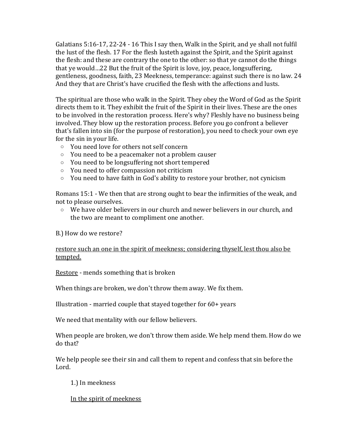Galatians 5:16-17, 22-24 - 16 This I say then, Walk in the Spirit, and ye shall not fulfil the lust of the flesh. 17 For the flesh lusteth against the Spirit, and the Spirit against the flesh: and these are contrary the one to the other: so that ye cannot do the things that ye would…22 But the fruit of the Spirit is love, joy, peace, longsuffering, gentleness, goodness, faith, 23 Meekness, temperance: against such there is no law. 24 And they that are Christ's have crucified the flesh with the affections and lusts.

The spiritual are those who walk in the Spirit. They obey the Word of God as the Spirit directs them to it. They exhibit the fruit of the Spirit in their lives. These are the ones to be involved in the restoration process. Here's why? Fleshly have no business being involved. They blow up the restoration process. Before you go confront a believer that's fallen into sin (for the purpose of restoration), you need to check your own eye for the sin in your life.

- o You need love for others not self concern
- o You need to be a peacemaker not a problem causer
- o You need to be longsuffering not short tempered
- o You need to offer compassion not criticism
- o You need to have faith in God's ability to restore your brother, not cynicism

Romans 15:1 - We then that are strong ought to bear the infirmities of the weak, and not to please ourselves.

o We have older believers in our church and newer believers in our church, and the two are meant to compliment one another.

B.) How do we restore?

#### restore such an one in the spirit of meekness; considering thyself, lest thou also be tempted.

Restore - mends something that is broken

When things are broken, we don't throw them away. We fix them.

Illustration - married couple that stayed together for 60+ years

We need that mentality with our fellow believers.

When people are broken, we don't throw them aside. We help mend them. How do we do that?

We help people see their sin and call them to repent and confess that sin before the Lord.

1.) In meekness

In the spirit of meekness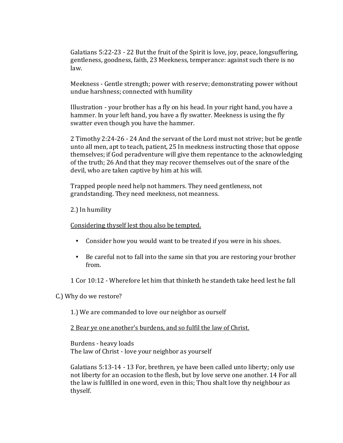Galatians 5:22-23 - 22 But the fruit of the Spirit is love, joy, peace, longsuffering, gentleness, goodness, faith, 23 Meekness, temperance: against such there is no law.

Meekness - Gentle strength; power with reserve; demonstrating power without undue harshness; connected with humility

Illustration - your brother has a fly on his head. In your right hand, you have a hammer. In your left hand, you have a fly swatter. Meekness is using the fly swatter even though you have the hammer.

2 Timothy 2:24-26 - 24 And the servant of the Lord must not strive; but be gentle unto all men, apt to teach, patient, 25 In meekness instructing those that oppose themselves; if God peradventure will give them repentance to the acknowledging of the truth; 26 And that they may recover themselves out of the snare of the devil, who are taken captive by him at his will.

Trapped people need help not hammers. They need gentleness, not grandstanding. They need meekness, not meanness.

#### 2.) In humility

#### Considering thyself lest thou also be tempted.

- Consider how you would want to be treated if you were in his shoes.
- Be careful not to fall into the same sin that you are restoring your brother from.
- 1 Cor 10:12 Wherefore let him that thinketh he standeth take heed lest he fall

#### C.) Why do we restore?

#### 1.) We are commanded to love our neighbor as ourself

#### 2 Bear ye one another's burdens, and so fulfil the law of Christ.

Burdens - heavy loads The law of Christ - love your neighbor as yourself

Galatians 5:13-14 - 13 For, brethren, ye have been called unto liberty; only use not liberty for an occasion to the flesh, but by love serve one another. 14 For all the law is fulfilled in one word, even in this; Thou shalt love thy neighbour as thyself.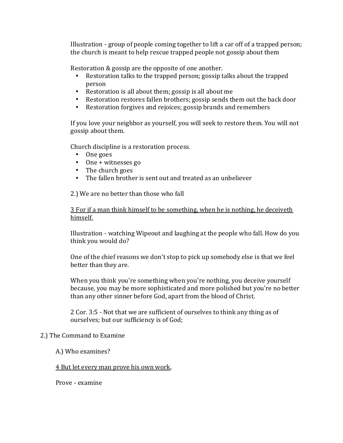Illustration - group of people coming together to lift a car off of a trapped person; the church is meant to help rescue trapped people not gossip about them

Restoration & gossip are the opposite of one another.

- Restoration talks to the trapped person; gossip talks about the trapped person
- Restoration is all about them; gossip is all about me
- Restoration restores fallen brothers; gossip sends them out the back door
- Restoration forgives and rejoices; gossip brands and remembers

If you love your neighbor as yourself, you will seek to restore them. You will not gossip about them.

Church discipline is a restoration process.

- One goes
- One + witnesses go
- The church goes
- The fallen brother is sent out and treated as an unbeliever

2.) We are no better than those who fall

3 For if a man think himself to be something, when he is nothing, he deceiveth himself.

Illustration - watching Wipeout and laughing at the people who fall. How do you think you would do?

One of the chief reasons we don't stop to pick up somebody else is that we feel better than they are.

When you think you're something when you're nothing, you deceive yourself because, you may be more sophisticated and more polished but you're no better than any other sinner before God, apart from the blood of Christ.

2 Cor. 3:5 - Not that we are sufficient of ourselves to think any thing as of ourselves; but our sufficiency is of God;

#### 2.) The Command to Examine

A.) Who examines?

#### 4 But let every man prove his own work,

Prove - examine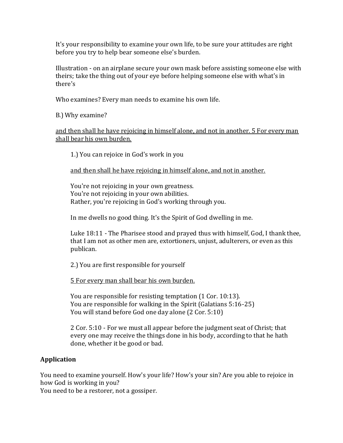It's your responsibility to examine your own life, to be sure your attitudes are right before you try to help bear someone else's burden.

Illustration - on an airplane secure your own mask before assisting someone else with theirs; take the thing out of your eye before helping someone else with what's in there's

Who examines? Every man needs to examine his own life.

B.) Why examine?

and then shall he have rejoicing in himself alone, and not in another. 5 For every man shall bear his own burden.

1.) You can rejoice in God's work in you

and then shall he have rejoicing in himself alone, and not in another.

You're not rejoicing in your own greatness. You're not rejoicing in your own abilities. Rather, you're rejoicing in God's working through you.

In me dwells no good thing. It's the Spirit of God dwelling in me.

Luke 18:11 - The Pharisee stood and prayed thus with himself, God, I thank thee, that I am not as other men are, extortioners, unjust, adulterers, or even as this publican.

2.) You are first responsible for yourself

5 For every man shall bear his own burden.

You are responsible for resisting temptation (1 Cor. 10:13). You are responsible for walking in the Spirit (Galatians 5:16-25) You will stand before God one day alone (2 Cor. 5:10)

2 Cor. 5:10 - For we must all appear before the judgment seat of Christ; that every one may receive the things done in his body, according to that he hath done, whether it be good or bad.

#### **Application**

You need to examine yourself. How's your life? How's your sin? Are you able to rejoice in how God is working in you?

You need to be a restorer, not a gossiper.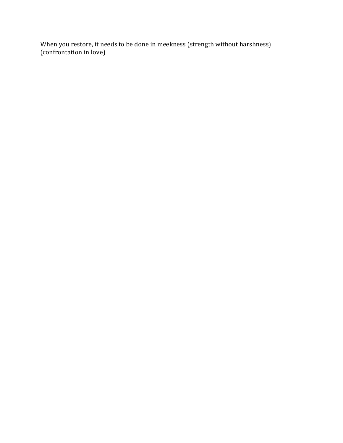When you restore, it needs to be done in meekness (strength without harshness) (confrontation in love)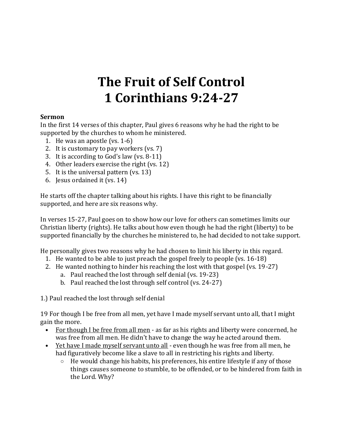## **The Fruit of Self Control 1 Corinthians 9:24-27**

#### **Sermon**

In the first 14 verses of this chapter, Paul gives 6 reasons why he had the right to be supported by the churches to whom he ministered.

- 1. He was an apostle (vs. 1-6)
- 2. It is customary to pay workers (vs. 7)
- 3. It is according to God's law (vs. 8-11)
- 4. Other leaders exercise the right (vs. 12)
- 5. It is the universal pattern (vs. 13)
- 6. Jesus ordained it (vs. 14)

He starts off the chapter talking about his rights. I have this right to be financially supported, and here are six reasons why.

In verses 15-27, Paul goes on to show how our love for others can sometimes limits our Christian liberty (rights). He talks about how even though he had the right (liberty) to be supported financially by the churches he ministered to, he had decided to not take support.

He personally gives two reasons why he had chosen to limit his liberty in this regard.

- 1. He wanted to be able to just preach the gospel freely to people (vs. 16-18)
- 2. He wanted nothing to hinder his reaching the lost with that gospel (vs. 19-27)
	- a. Paul reached the lost through self denial (vs. 19-23)
	- b. Paul reached the lost through self control (vs. 24-27)

1.) Paul reached the lost through self denial

19 For though I be free from all men, yet have I made myself servant unto all, that I might gain the more.

- For though I be free from all men as far as his rights and liberty were concerned, he was free from all men. He didn't have to change the way he acted around them.
- Yet have I made myself servant unto all even though he was free from all men, he had figuratively become like a slave to all in restricting his rights and liberty.
	- $\circ$  He would change his habits, his preferences, his entire lifestyle if any of those things causes someone to stumble, to be offended, or to be hindered from faith in the Lord. Why?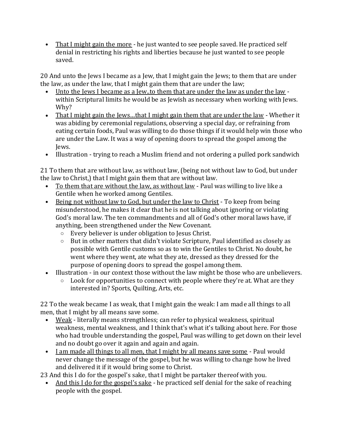• That I might gain the more - he just wanted to see people saved. He practiced self denial in restricting his rights and liberties because he just wanted to see people saved.

20 And unto the Jews I became as a Jew, that I might gain the Jews; to them that are under the law, as under the law, that I might gain them that are under the law;

- Unto the Jews I became as a Jew..to them that are under the law as under the law within Scriptural limits he would be as Jewish as necessary when working with Jews. Why?
- That I might gain the Jews...that I might gain them that are under the law Whether it was abiding by ceremonial regulations, observing a special day, or refraining from eating certain foods, Paul was willing to do those things if it would help win those who are under the Law. It was a way of opening doors to spread the gospel among the Jews.
- Illustration trying to reach a Muslim friend and not ordering a pulled pork sandwich

21 To them that are without law, as without law, (being not without law to God, but under the law to Christ,) that I might gain them that are without law.

- To them that are without the law, as without law Paul was willing to live like a Gentile when he worked among Gentiles.
- Being not without law to God, but under the law to Christ To keep from being misunderstood, he makes it clear that he is not talking about ignoring or violating God's moral law. The ten commandments and all of God's other moral laws have, if anything, been strengthened under the New Covenant.
	- o Every believer is under obligation to Jesus Christ.
	- o But in other matters that didn't violate Scripture, Paul identified as closely as possible with Gentile customs so as to win the Gentiles to Christ. No doubt, he went where they went, ate what they ate, dressed as they dressed for the purpose of opening doors to spread the gospel among them.
- Illustration in our context those without the law might be those who are unbelievers.
	- $\circ$  Look for opportunities to connect with people where they're at. What are they interested in? Sports, Quilting, Arts, etc.

22 To the weak became I as weak, that I might gain the weak: I am made all things to all men, that I might by all means save some.

- Weak literally means strengthless; can refer to physical weakness, spiritual weakness, mental weakness, and I think that's what it's talking about here. For those who had trouble understanding the gospel, Paul was willing to get down on their level and no doubt go over it again and again and again.
- I am made all things to all men, that I might by all means save some Paul would never change the message of the gospel, but he was willing to change how he lived and delivered it if it would bring some to Christ.

23 And this I do for the gospel's sake, that I might be partaker thereof with you.

• And this I do for the gospel's sake - he practiced self denial for the sake of reaching people with the gospel.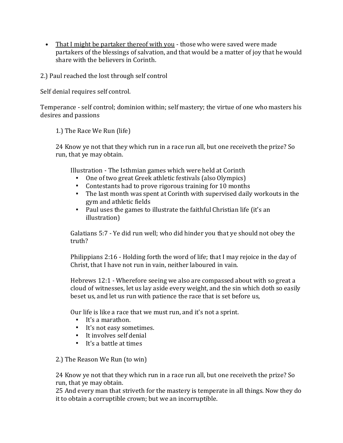• That I might be partaker thereof with you - those who were saved were made partakers of the blessings of salvation, and that would be a matter of joy that he would share with the believers in Corinth.

2.) Paul reached the lost through self control

Self denial requires self control.

Temperance - self control; dominion within; self mastery; the virtue of one who masters his desires and passions

1.) The Race We Run (life)

24 Know ye not that they which run in a race run all, but one receiveth the prize? So run, that ye may obtain.

Illustration - The Isthmian games which were held at Corinth

- One of two great Greek athletic festivals (also Olympics)
- Contestants had to prove rigorous training for 10 months
- The last month was spent at Corinth with supervised daily workouts in the gym and athletic fields
- Paul uses the games to illustrate the faithful Christian life (it's an illustration)

Galatians 5:7 - Ye did run well; who did hinder you that ye should not obey the truth?

Philippians 2:16 - Holding forth the word of life; that I may rejoice in the day of Christ, that I have not run in vain, neither laboured in vain.

Hebrews 12:1 - Wherefore seeing we also are compassed about with so great a cloud of witnesses, let us lay aside every weight, and the sin which doth so easily beset us, and let us run with patience the race that is set before us,

Our life is like a race that we must run, and it's not a sprint.

- It's a marathon.
- It's not easy sometimes.
- It involves self denial
- It's a battle at times

2.) The Reason We Run (to win)

24 Know ye not that they which run in a race run all, but one receiveth the prize? So run, that ye may obtain.

25 And every man that striveth for the mastery is temperate in all things. Now they do it to obtain a corruptible crown; but we an incorruptible.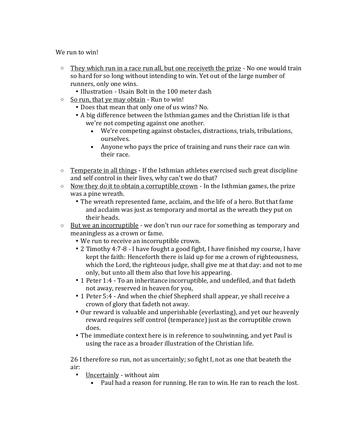We run to win!

- $\circ$  They which run in a race run all, but one receiveth the prize No one would train so hard for so long without intending to win. Yet out of the large number of runners, only one wins.
	- Illustration Usain Bolt in the 100 meter dash
- o So run, that ye may obtain Run to win!
	- Does that mean that only one of us wins? No.
	- A big difference between the Isthmian games and the Christian life is that we're not competing against one another.
		- We're competing against obstacles, distractions, trials, tribulations, ourselves.
		- Anyone who pays the price of training and runs their race can win their race.
- $\circ$  Temperate in all things If the Isthmian athletes exercised such great discipline and self control in their lives, why can't we do that?
- $\circ$  Now they do it to obtain a corruptible crown In the Isthmian games, the prize was a pine wreath.
	- The wreath represented fame, acclaim, and the life of a hero. But that fame and acclaim was just as temporary and mortal as the wreath they put on their heads.
- $\circ$  But we an incorruptible we don't run our race for something as temporary and meaningless as a crown or fame.
	- We run to receive an incorruptible crown.
	- 2 Timothy 4:7-8 I have fought a good fight, I have finished my course, I have kept the faith: Henceforth there is laid up for me a crown of righteousness, which the Lord, the righteous judge, shall give me at that day: and not to me only, but unto all them also that love his appearing.
	- 1 Peter 1:4 To an inheritance incorruptible, and undefiled, and that fadeth not away, reserved in heaven for you,
	- 1 Peter 5:4 And when the chief Shepherd shall appear, ye shall receive a crown of glory that fadeth not away.
	- Our reward is valuable and unperishable (everlasting), and yet our heavenly reward requires self control (temperance) just as the corruptible crown does.
	- The immediate context here is in reference to soulwinning, and yet Paul is using the race as a broader illustration of the Christian life.

26 I therefore so run, not as uncertainly; so fight I, not as one that beateth the air:

- **Uncertainly without aim** 
	- Paul had a reason for running. He ran to win. He ran to reach the lost.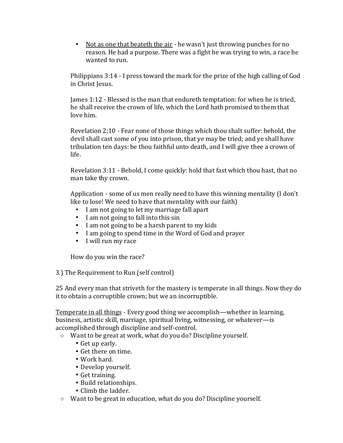■ Not as one that beateth the air - he wasn't just throwing punches for no reason. He had a purpose. There was a fight he was trying to win, a race he wanted to run.

Philippians 3:14 - I press toward the mark for the prize of the high calling of God in Christ Jesus.

James 1:12 - Blessed is the man that endureth temptation: for when he is tried, he shall receive the crown of life, which the Lord hath promised to them that love him.

Revelation 2;10 - Fear none of those things which thou shalt suffer: behold, the devil shall cast some of you into prison, that ye may be tried; and ye shall have tribulation ten days: be thou faithful unto death, and I will give thee a crown of life.

Revelation 3:11 - Behold, I come quickly: hold that fast which thou hast, that no man take thy crown.

Application - some of us men really need to have this winning mentality (I don't like to lose! We need to have that mentality with our faith)

- I am not going to let my marriage fall apart
- I am not going to fall into this sin
- I am not going to be a harsh parent to my kids
- I am going to spend time in the Word of God and prayer
- I will run my race

How do you win the race?

3.) The Requirement to Run (self control)

25 And every man that striveth for the mastery is temperate in all things. Now they do it to obtain a corruptible crown; but we an incorruptible.

Temperate in all things - Every good thing we accomplish—whether in learning, business, artistic skill, marriage, spiritual living, witnessing, or whatever—is accomplished through discipline and self-control.

o Want to be great at work, what do you do? Discipline yourself.

- Get up early.
- Get there on time.
- Work hard.
- Develop yourself.
- Get training.
- Build relationships.
- Climb the ladder.
- o Want to be great in education, what do you do? Discipline yourself.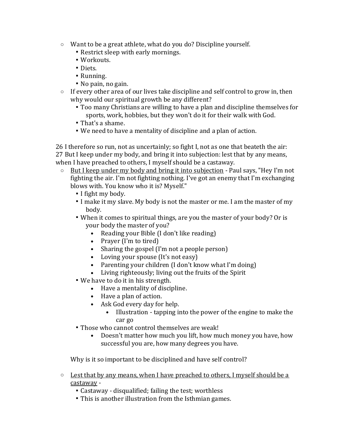- o Want to be a great athlete, what do you do? Discipline yourself.
	- Restrict sleep with early mornings.
	- Workouts.
	- Diets.
	- Running.
	- No pain, no gain.
- $\circ$  If every other area of our lives take discipline and self control to grow in, then why would our spiritual growth be any different?
	- Too many Christians are willing to have a plan and discipline themselves for sports, work, hobbies, but they won't do it for their walk with God.
	- That's a shame.
	- We need to have a mentality of discipline and a plan of action.

26 I therefore so run, not as uncertainly; so fight I, not as one that beateth the air: 27 But I keep under my body, and bring it into subjection: lest that by any means, when I have preached to others, I myself should be a castaway.

- o But I keep under my body and bring it into subjection Paul says, "Hey I'm not fighting the air. I'm not fighting nothing. I've got an enemy that I'm exchanging blows with. You know who it is? Myself."
	- I fight my body.
	- I make it my slave. My body is not the master or me. I am the master of my body.
	- When it comes to spiritual things, are you the master of your body? Or is your body the master of you?
		- Reading your Bible (I don't like reading)
		- Prayer (I'm to tired)
		- Sharing the gospel (I'm not a people person)
		- Loving your spouse (It's not easy)
		- Parenting your children (I don't know what I'm doing)
		- Living righteously; living out the fruits of the Spirit
	- We have to do it in his strength.
		- Have a mentality of discipline.
		- Have a plan of action.
		- Ask God every day for help.
			- Illustration tapping into the power of the engine to make the car go
	- Those who cannot control themselves are weak!
		- Doesn't matter how much you lift, how much money you have, how successful you are, how many degrees you have.

Why is it so important to be disciplined and have self control?

- $\circ$  Lest that by any means, when I have preached to others, I myself should be a castaway -
	- Castaway disqualified; failing the test; worthless
	- This is another illustration from the Isthmian games.